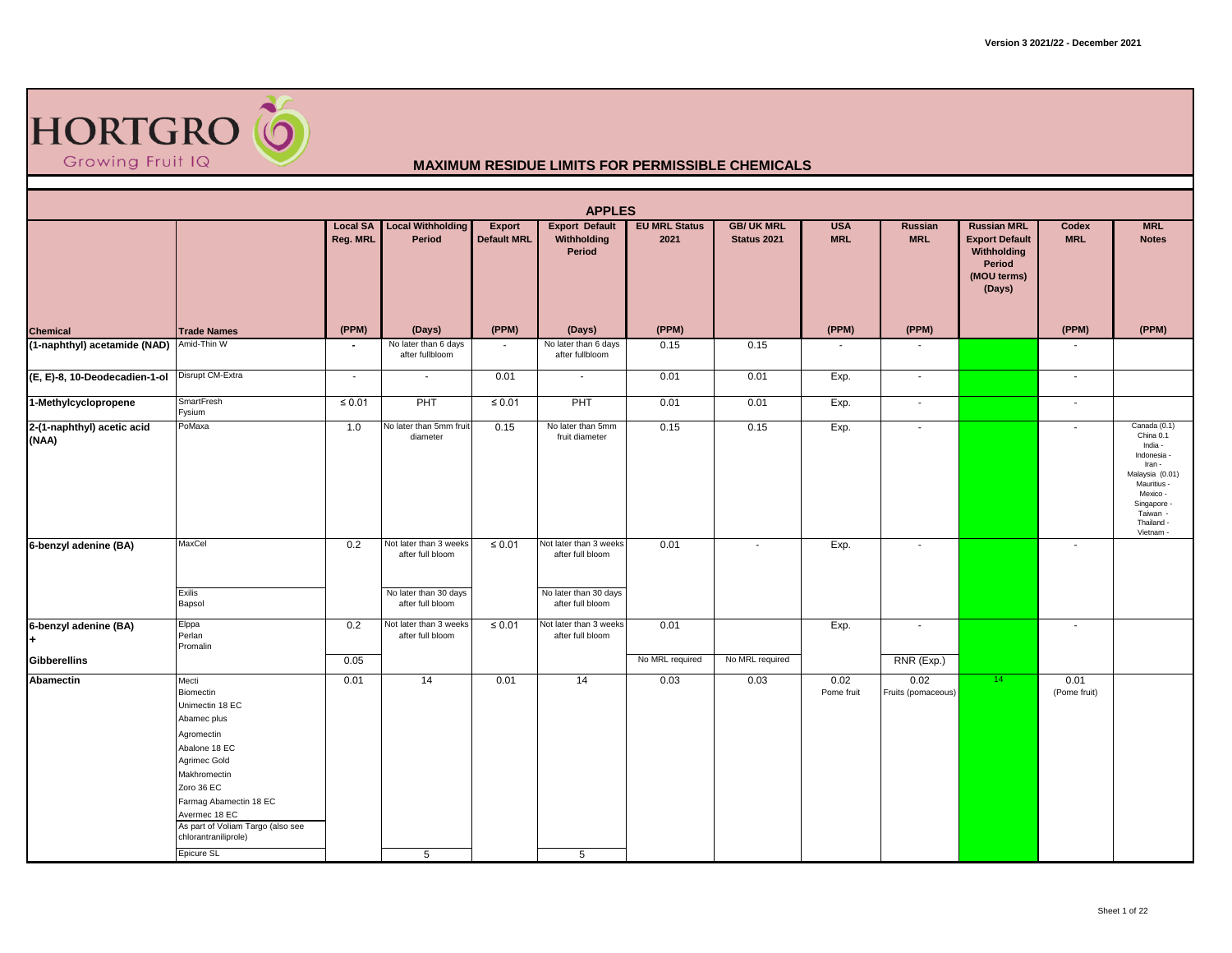

|                                     |                                                                                                                                                                                                                                                  |                             |                                                                     |                              | <b>APPLES</b>                                                       |                              |                                  |                          |                            |                                                                                               |                          |                                                                                                                                                                   |
|-------------------------------------|--------------------------------------------------------------------------------------------------------------------------------------------------------------------------------------------------------------------------------------------------|-----------------------------|---------------------------------------------------------------------|------------------------------|---------------------------------------------------------------------|------------------------------|----------------------------------|--------------------------|----------------------------|-----------------------------------------------------------------------------------------------|--------------------------|-------------------------------------------------------------------------------------------------------------------------------------------------------------------|
|                                     |                                                                                                                                                                                                                                                  | <b>Local SA</b><br>Reg. MRL | <b>Local Withholding</b><br>Period                                  | Export<br><b>Default MRL</b> | <b>Export Default</b><br>Withholding<br>Period                      | <b>EU MRL Status</b><br>2021 | <b>GB/ UK MRL</b><br>Status 2021 | <b>USA</b><br><b>MRL</b> | Russian<br><b>MRL</b>      | <b>Russian MRL</b><br><b>Export Default</b><br>Withholding<br>Period<br>(MOU terms)<br>(Days) | Codex<br><b>MRL</b>      | <b>MRL</b><br><b>Notes</b>                                                                                                                                        |
| <b>Chemical</b>                     | <b>Trade Names</b>                                                                                                                                                                                                                               | (PPM)                       | (Days)                                                              | (PPM)                        | (Days)                                                              | (PPM)                        |                                  | (PPM)                    | (PPM)                      |                                                                                               | (PPM)                    | (PPM)                                                                                                                                                             |
| (1-naphthyl) acetamide (NAD)        | Amid-Thin W                                                                                                                                                                                                                                      | $\overline{\phantom{a}}$    | No later than 6 days<br>after fullbloom                             | $\overline{\phantom{a}}$     | No later than 6 days<br>after fullbloom                             | 0.15                         | 0.15                             | $\sim$                   | $\blacksquare$             |                                                                                               | $\overline{\phantom{a}}$ |                                                                                                                                                                   |
| (E, E)-8, 10-Deodecadien-1-ol       | Disrupt CM-Extra                                                                                                                                                                                                                                 | $\sim$                      | $\sim$                                                              | 0.01                         | $\sim$                                                              | 0.01                         | 0.01                             | Exp.                     | $\sim$                     |                                                                                               | $\sim$                   |                                                                                                                                                                   |
| 1-Methylcyclopropene                | <b>SmartFresh</b><br>Fysium                                                                                                                                                                                                                      | $\leq 0.01$                 | PHT                                                                 | $\leq 0.01$                  | PHT                                                                 | 0.01                         | 0.01                             | Exp.                     | $\blacksquare$             |                                                                                               | $\sim$                   |                                                                                                                                                                   |
| 2-(1-naphthyl) acetic acid<br>(NAA) | PoMaxa                                                                                                                                                                                                                                           | 1.0                         | No later than 5mm fruit<br>diameter                                 | 0.15                         | No later than 5mm<br>fruit diameter                                 | 0.15                         | 0.15                             | Exp.                     | $\overline{\phantom{a}}$   |                                                                                               | $\overline{\phantom{a}}$ | Canada (0.1)<br>China 0.1<br>India -<br>Indonesia -<br>Iran -<br>Malaysia (0.01)<br>Mauritius -<br>Mexico -<br>Singapore -<br>Taiwan -<br>Thailand -<br>Vietnam - |
| 6-benzyl adenine (BA)               | MaxCel<br>Exilis                                                                                                                                                                                                                                 | 0.2                         | Not later than 3 weeks<br>after full bloom<br>No later than 30 days | $\leq 0.01$                  | Not later than 3 weeks<br>after full bloom<br>No later than 30 days | 0.01                         | $\sim$                           | Exp.                     | $\sim$                     |                                                                                               | $\sim$                   |                                                                                                                                                                   |
|                                     | Bapsol                                                                                                                                                                                                                                           |                             | after full bloom                                                    |                              | after full bloom                                                    |                              |                                  |                          |                            |                                                                                               |                          |                                                                                                                                                                   |
| 6-benzyl adenine (BA)               | Elppa<br>Perlan<br>Promalin                                                                                                                                                                                                                      | 0.2                         | Not later than 3 weeks<br>after full bloom                          | $\leq 0.01$                  | Not later than 3 weeks<br>after full bloom                          | 0.01                         |                                  | Exp.                     | $\blacksquare$             |                                                                                               | $\overline{\phantom{a}}$ |                                                                                                                                                                   |
| Gibberellins                        |                                                                                                                                                                                                                                                  | 0.05                        |                                                                     |                              |                                                                     | No MRL required              | No MRL required                  |                          | RNR (Exp.)                 |                                                                                               |                          |                                                                                                                                                                   |
| Abamectin                           | Mecti<br><b>Biomectin</b><br>Unimectin 18 EC<br>Abamec plus<br>Agromectin<br>Abalone 18 EC<br>Agrimec Gold<br>Makhromectin<br>Zoro 36 EC<br>Farmag Abamectin 18 EC<br>Avermec 18 EC<br>As part of Voliam Targo (also see<br>chlorantraniliprole) | 0.01                        | 14                                                                  | 0.01                         | 14                                                                  | 0.03                         | 0.03                             | 0.02<br>Pome fruit       | 0.02<br>Fruits (pomaceous) | 14 <sup>2</sup>                                                                               | 0.01<br>(Pome fruit)     |                                                                                                                                                                   |
|                                     | Epicure SL                                                                                                                                                                                                                                       |                             | 5                                                                   |                              | 5                                                                   |                              |                                  |                          |                            |                                                                                               |                          |                                                                                                                                                                   |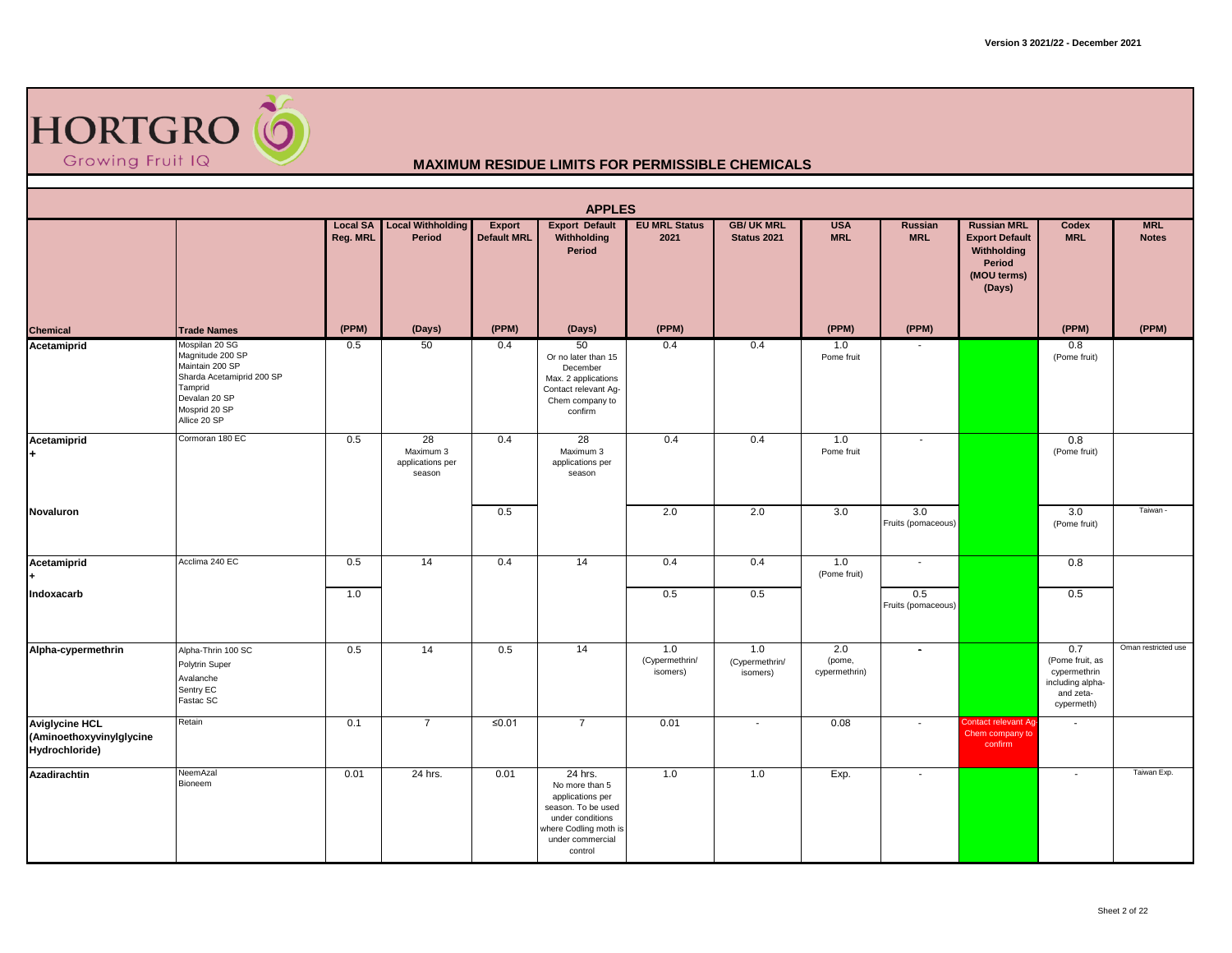

|                                                                     |                                                                                                                                                 |          |                                               |                                     | <b>APPLES</b>                                                                                                                                   |                                   |                                   |                                |                           |                                                                                               |                                                                                       |                            |
|---------------------------------------------------------------------|-------------------------------------------------------------------------------------------------------------------------------------------------|----------|-----------------------------------------------|-------------------------------------|-------------------------------------------------------------------------------------------------------------------------------------------------|-----------------------------------|-----------------------------------|--------------------------------|---------------------------|-----------------------------------------------------------------------------------------------|---------------------------------------------------------------------------------------|----------------------------|
|                                                                     |                                                                                                                                                 | Reg. MRL | <b>Local SA</b> Local Withholding<br>Period   | <b>Export</b><br><b>Default MRL</b> | <b>Export Default</b><br>Withholding<br>Period                                                                                                  | <b>EU MRL Status</b><br>2021      | <b>GB/ UK MRL</b><br>Status 2021  | <b>USA</b><br><b>MRL</b>       | Russian<br><b>MRL</b>     | <b>Russian MRL</b><br><b>Export Default</b><br>Withholding<br>Period<br>(MOU terms)<br>(Days) | Codex<br><b>MRL</b>                                                                   | <b>MRL</b><br><b>Notes</b> |
| <b>Chemical</b>                                                     | <b>Trade Names</b>                                                                                                                              | (PPM)    | (Days)                                        | (PPM)                               | (Days)                                                                                                                                          | (PPM)                             |                                   | (PPM)                          | (PPM)                     |                                                                                               | (PPM)                                                                                 | (PPM)                      |
| Acetamiprid                                                         | Mospilan 20 SG<br>Magnitude 200 SP<br>Maintain 200 SP<br>Sharda Acetamiprid 200 SP<br>Tamprid<br>Devalan 20 SP<br>Mosprid 20 SP<br>Allice 20 SP | 0.5      | 50                                            | 0.4                                 | 50<br>Or no later than 15<br>December<br>Max. 2 applications<br>Contact relevant Ag-<br>Chem company to<br>confirm                              | 0.4                               | 0.4                               | 1.0<br>Pome fruit              |                           |                                                                                               | 0.8<br>(Pome fruit)                                                                   |                            |
| Acetamiprid                                                         | Cormoran 180 EC                                                                                                                                 | 0.5      | 28<br>Maximum 3<br>applications per<br>season | 0.4                                 | 28<br>Maximum 3<br>applications per<br>season                                                                                                   | 0.4                               | 0.4                               | 1.0<br>Pome fruit              | $\blacksquare$            |                                                                                               | 0.8<br>(Pome fruit)                                                                   |                            |
| Novaluron                                                           |                                                                                                                                                 |          |                                               | 0.5                                 |                                                                                                                                                 | 2.0                               | 2.0                               | 3.0                            | 3.0<br>Fruits (pomaceous) |                                                                                               | 3.0<br>(Pome fruit)                                                                   | Taiwan -                   |
| Acetamiprid                                                         | Acclima 240 EC                                                                                                                                  | 0.5      | 14                                            | 0.4                                 | 14                                                                                                                                              | 0.4                               | 0.4                               | 1.0<br>(Pome fruit)            | $\blacksquare$            |                                                                                               | 0.8                                                                                   |                            |
| Indoxacarb                                                          |                                                                                                                                                 | 1.0      |                                               |                                     |                                                                                                                                                 | 0.5                               | 0.5                               |                                | 0.5<br>Fruits (pomaceous) |                                                                                               | 0.5                                                                                   |                            |
| Alpha-cypermethrin                                                  | Alpha-Thrin 100 SC<br>Polytrin Super<br>Avalanche<br>Sentry EC<br>Fastac SC                                                                     | 0.5      | 14                                            | 0.5                                 | 14                                                                                                                                              | 1.0<br>(Cypermethrin/<br>isomers) | 1.0<br>(Cypermethrin/<br>isomers) | 2.0<br>(pome,<br>cypermethrin) | $\overline{\phantom{a}}$  |                                                                                               | 0.7<br>(Pome fruit, as<br>cypermethrin<br>including alpha-<br>and zeta-<br>cypermeth) | Oman restricted use        |
| <b>Aviglycine HCL</b><br>(Aminoethoxyvinylglycine<br>Hydrochloride) | Retain                                                                                                                                          | 0.1      | $\overline{7}$                                | ≤ $0.01$                            | $\overline{7}$                                                                                                                                  | 0.01                              | $\sim$                            | 0.08                           | $\sim$                    | Contact relevant Ag-<br>Chem company to<br>confirm                                            | $\sim$                                                                                |                            |
| Azadirachtin                                                        | NeemAzal<br>Bioneem                                                                                                                             | 0.01     | 24 hrs.                                       | 0.01                                | 24 hrs.<br>No more than 5<br>applications per<br>season. To be used<br>under conditions<br>where Codling moth is<br>under commercial<br>control | 1.0                               | 1.0                               | Exp.                           | $\sim$                    |                                                                                               | $\sim$                                                                                | Taiwan Exp.                |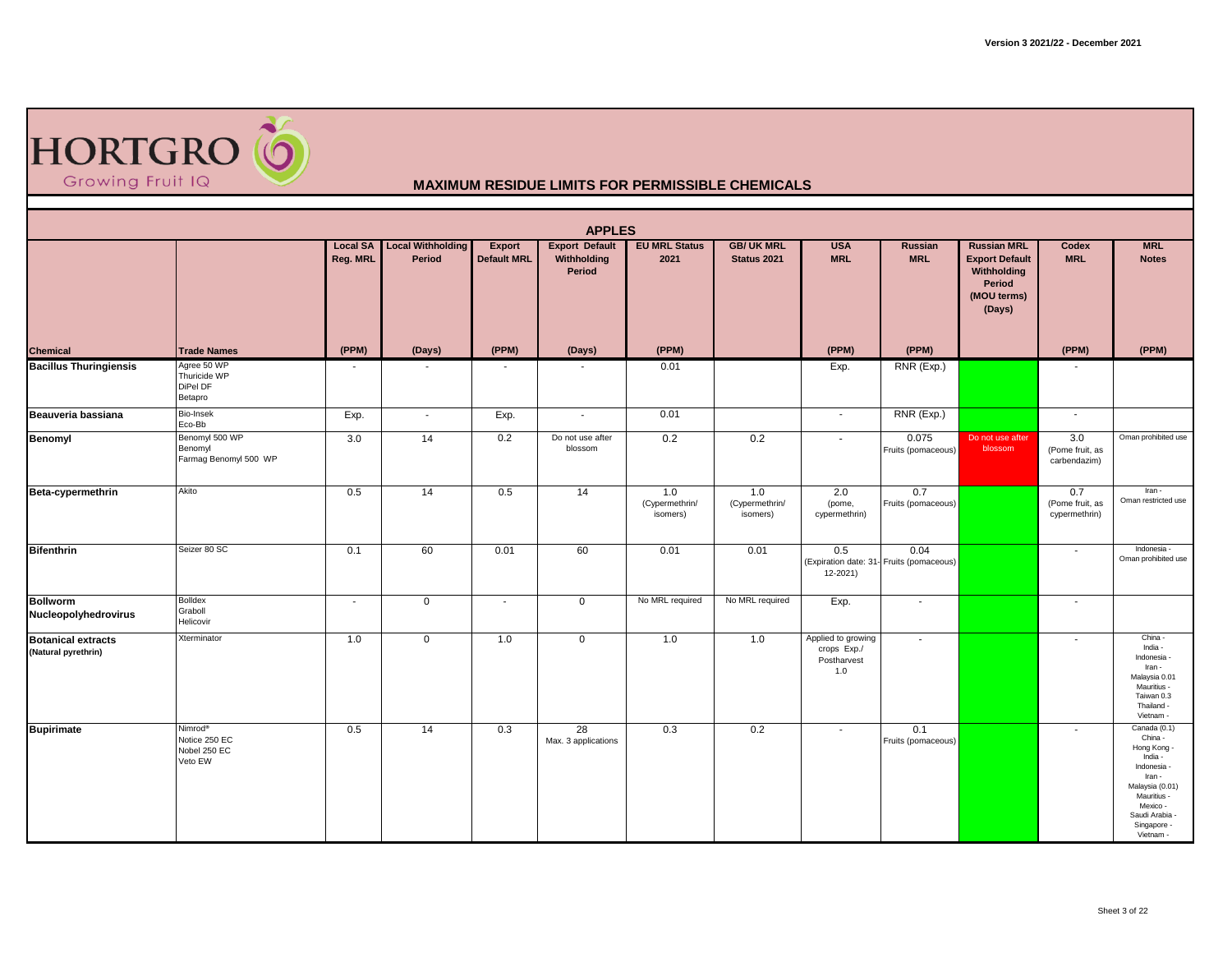

|                                                  |                                                                 |                             |                                    |                              | <b>APPLES</b>                                  |                                   |                                   |                                                         |                                                  |                                                                                               |                                         |                                                                                                                                                                      |
|--------------------------------------------------|-----------------------------------------------------------------|-----------------------------|------------------------------------|------------------------------|------------------------------------------------|-----------------------------------|-----------------------------------|---------------------------------------------------------|--------------------------------------------------|-----------------------------------------------------------------------------------------------|-----------------------------------------|----------------------------------------------------------------------------------------------------------------------------------------------------------------------|
|                                                  |                                                                 | <b>Local SA</b><br>Reg. MRL | <b>Local Withholding</b><br>Period | Export<br><b>Default MRL</b> | <b>Export Default</b><br>Withholding<br>Period | <b>EU MRL Status</b><br>2021      | <b>GB/ UK MRL</b><br>Status 2021  | <b>USA</b><br><b>MRL</b>                                | Russian<br><b>MRL</b>                            | <b>Russian MRL</b><br><b>Export Default</b><br>Withholding<br>Period<br>(MOU terms)<br>(Days) | <b>Codex</b><br><b>MRL</b>              | <b>MRL</b><br><b>Notes</b>                                                                                                                                           |
| Chemical                                         | <b>Trade Names</b>                                              | (PPM)                       | (Days)                             | (PPM)                        | (Days)                                         | (PPM)                             |                                   | (PPM)                                                   | (PPM)                                            |                                                                                               | (PPM)                                   | (PPM)                                                                                                                                                                |
| <b>Bacillus Thuringiensis</b>                    | Agree 50 WP<br>Thuricide WP<br>DiPel DF<br>Betapro              | $\overline{\phantom{a}}$    |                                    |                              |                                                | 0.01                              |                                   | Exp.                                                    | RNR (Exp.)                                       |                                                                                               | $\blacksquare$                          |                                                                                                                                                                      |
| Beauveria bassiana                               | Bio-Insek<br>Eco-Bb                                             | Exp.                        | $\blacksquare$                     | Exp.                         | $\sim$                                         | 0.01                              |                                   | $\sim$                                                  | RNR (Exp.)                                       |                                                                                               | $\sim$                                  |                                                                                                                                                                      |
| Benomyl                                          | Benomyl 500 WP<br>Benomyl<br>Farmag Benomyl 500 WP              | 3.0                         | 14                                 | 0.2                          | Do not use after<br>blossom                    | 0.2                               | 0.2                               | $\blacksquare$                                          | 0.075<br>Fruits (pomaceous)                      | Do not use after<br>blossom                                                                   | 3.0<br>(Pome fruit, as<br>carbendazim)  | Oman prohibited use                                                                                                                                                  |
| Beta-cypermethrin                                | Akito                                                           | 0.5                         | 14                                 | 0.5                          | 14                                             | 1.0<br>(Cypermethrin/<br>isomers) | 1.0<br>(Cypermethrin/<br>isomers) | 2.0<br>(pome,<br>cypermethrin)                          | 0.7<br>Fruits (pomaceous)                        |                                                                                               | 0.7<br>(Pome fruit, as<br>cypermethrin) | Iran -<br>Oman restricted use                                                                                                                                        |
| <b>Bifenthrin</b>                                | Seizer 80 SC                                                    | 0.1                         | 60                                 | 0.01                         | 60                                             | 0.01                              | 0.01                              | 0.5<br>12-2021)                                         | 0.04<br>(Expiration date: 31- Fruits (pomaceous) |                                                                                               | $\overline{\phantom{a}}$                | Indonesia -<br>Oman prohibited use                                                                                                                                   |
| <b>Bollworm</b><br>Nucleopolyhedrovirus          | <b>Bolldex</b><br>Graboll<br>Helicovir                          | $\blacksquare$              | $\overline{0}$                     | $\overline{\phantom{a}}$     | $\mathbf 0$                                    | No MRL required                   | No MRL required                   | Exp.                                                    | $\blacksquare$                                   |                                                                                               | $\overline{\phantom{a}}$                |                                                                                                                                                                      |
| <b>Botanical extracts</b><br>(Natural pyrethrin) | Xterminator                                                     | 1.0                         | $\overline{0}$                     | 1.0                          | $\mathbf 0$                                    | 1.0                               | 1.0                               | Applied to growing<br>crops Exp./<br>Postharvest<br>1.0 | $\sim$                                           |                                                                                               | $\overline{\phantom{a}}$                | China -<br>India -<br>Indonesia<br>Iran -<br>Malaysia 0.01<br>Mauritius -<br>Taiwan 0.3<br>Thailand -<br>Vietnam -                                                   |
| <b>Bupirimate</b>                                | Nimrod <sup>®</sup><br>Notice 250 EC<br>Nobel 250 EC<br>Veto EW | 0.5                         | 14                                 | 0.3                          | 28<br>Max. 3 applications                      | 0.3                               | 0.2                               | $\overline{\phantom{a}}$                                | 0.1<br>Fruits (pomaceous)                        |                                                                                               | $\overline{\phantom{a}}$                | Canada (0.1)<br>China -<br>Hong Kong -<br>India -<br>Indonesia<br>Iran -<br>Malaysia (0.01)<br>Mauritius -<br>Mexico -<br>Saudi Arabia -<br>Singapore -<br>Vietnam - |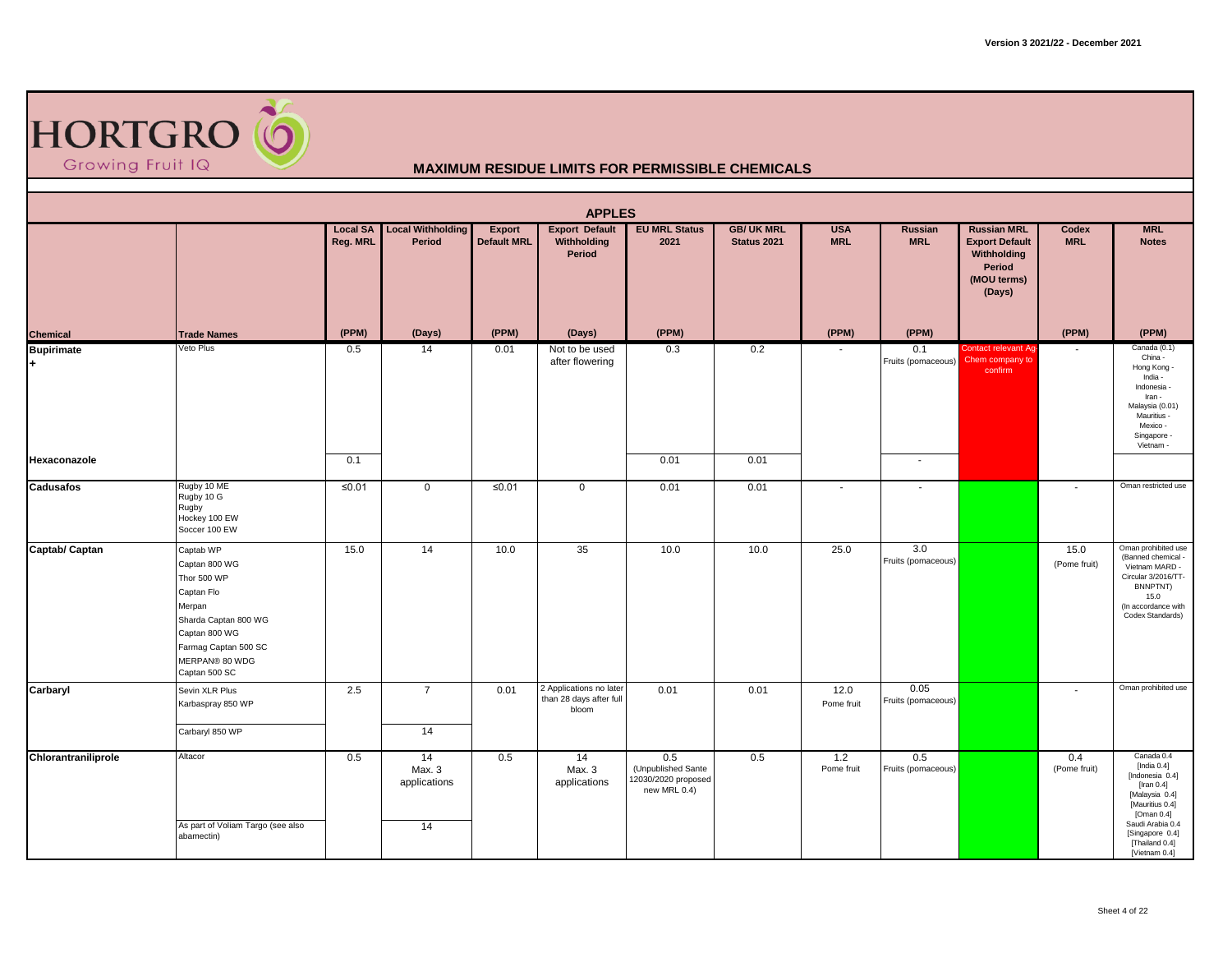

|                         |                                                                                                                                                                       |                             |                                    |                              | <b>APPLES</b>                                               |                                                                  |                                  |                          |                            |                                                                                               |                          |                                                                                                                                                                                               |
|-------------------------|-----------------------------------------------------------------------------------------------------------------------------------------------------------------------|-----------------------------|------------------------------------|------------------------------|-------------------------------------------------------------|------------------------------------------------------------------|----------------------------------|--------------------------|----------------------------|-----------------------------------------------------------------------------------------------|--------------------------|-----------------------------------------------------------------------------------------------------------------------------------------------------------------------------------------------|
|                         |                                                                                                                                                                       | <b>Local SA</b><br>Reg. MRL | <b>Local Withholding</b><br>Period | Export<br><b>Default MRL</b> | <b>Export Default</b><br>Withholding<br>Period              | <b>EU MRL Status</b><br>2021                                     | <b>GB/ UK MRL</b><br>Status 2021 | <b>USA</b><br><b>MRL</b> | Russian<br><b>MRL</b>      | <b>Russian MRL</b><br><b>Export Default</b><br>Withholding<br>Period<br>(MOU terms)<br>(Days) | Codex<br><b>MRL</b>      | <b>MRL</b><br><b>Notes</b>                                                                                                                                                                    |
| <b>Chemical</b>         | <b>Trade Names</b>                                                                                                                                                    | (PPM)                       | (Days)                             | (PPM)                        | (Days)                                                      | (PPM)                                                            |                                  | (PPM)                    | (PPM)                      |                                                                                               | (PPM)                    | (PPM)                                                                                                                                                                                         |
| <b>Bupirimate</b><br>H. | Veto Plus                                                                                                                                                             | 0.5                         | 14                                 | 0.01                         | Not to be used<br>after flowering                           | 0.3                                                              | 0.2                              | $\sim$                   | 0.1<br>Fruits (pomaceous)  | Contact relevant Ag-<br>Chem company to<br>confirm                                            | $\blacksquare$           | Canada (0.1)<br>China -<br>Hong Kong<br>India -<br>Indonesia<br>Iran -<br>Malaysia (0.01)<br>Mauritius -<br>Mexico -<br>Singapore -<br>Vietnam -                                              |
| Hexaconazole            |                                                                                                                                                                       | 0.1                         |                                    |                              |                                                             | 0.01                                                             | 0.01                             |                          | $\overline{\phantom{a}}$   |                                                                                               |                          |                                                                                                                                                                                               |
| <b>Cadusafos</b>        | Rugby 10 ME<br>Rugby 10 G<br>Rugby<br>Hockey 100 EW<br>Soccer 100 EW                                                                                                  | $≤0.01$                     | $\mathbf 0$                        | $≤0.01$                      | $\mathbf 0$                                                 | 0.01                                                             | 0.01                             | $\overline{\phantom{a}}$ | $\sim$                     |                                                                                               | $\sim$                   | Oman restricted use                                                                                                                                                                           |
| Captab/ Captan          | Captab WP<br>Captan 800 WG<br>Thor 500 WP<br>Captan Flo<br>Merpan<br>Sharda Captan 800 WG<br>Captan 800 WG<br>Farmag Captan 500 SC<br>MERPAN® 80 WDG<br>Captan 500 SC | 15.0                        | 14                                 | 10.0                         | 35                                                          | 10.0                                                             | 10.0                             | 25.0                     | 3.0<br>Fruits (pomaceous)  |                                                                                               | 15.0<br>(Pome fruit)     | Oman prohibited use<br>(Banned chemical -<br>Vietnam MARD -<br>Circular 3/2016/TT-<br>BNNPTNT)<br>15.0<br>(In accordance with<br>Codex Standards)                                             |
| Carbaryl                | Sevin XLR Plus<br>Karbaspray 850 WP<br>Carbaryl 850 WP                                                                                                                | 2.5                         | $\overline{7}$<br>14               | 0.01                         | 2 Applications no later<br>than 28 days after full<br>bloom | 0.01                                                             | 0.01                             | 12.0<br>Pome fruit       | 0.05<br>Fruits (pomaceous) |                                                                                               | $\overline{\phantom{a}}$ | Oman prohibited use                                                                                                                                                                           |
| Chlorantraniliprole     | Altacor<br>As part of Voliam Targo (see also<br>abamectin)                                                                                                            | 0.5                         | 14<br>Max. 3<br>applications<br>14 | 0.5                          | 14<br>Max. 3<br>applications                                | 0.5<br>(Unpublished Sante<br>12030/2020 proposed<br>new MRL 0.4) | 0.5                              | 1.2<br>Pome fruit        | 0.5<br>Fruits (pomaceous)  |                                                                                               | 0.4<br>(Pome fruit)      | Canada 0.4<br>[India $0.4$ ]<br>[Indonesia 0.4]<br>[Iran $0.4$ ]<br>[Malaysia 0.4]<br>[Mauritius 0.4]<br>[Oman 0.4]<br>Saudi Arabia 0.4<br>[Singapore 0.4]<br>[Thailand 0.4]<br>[Vietnam 0.4] |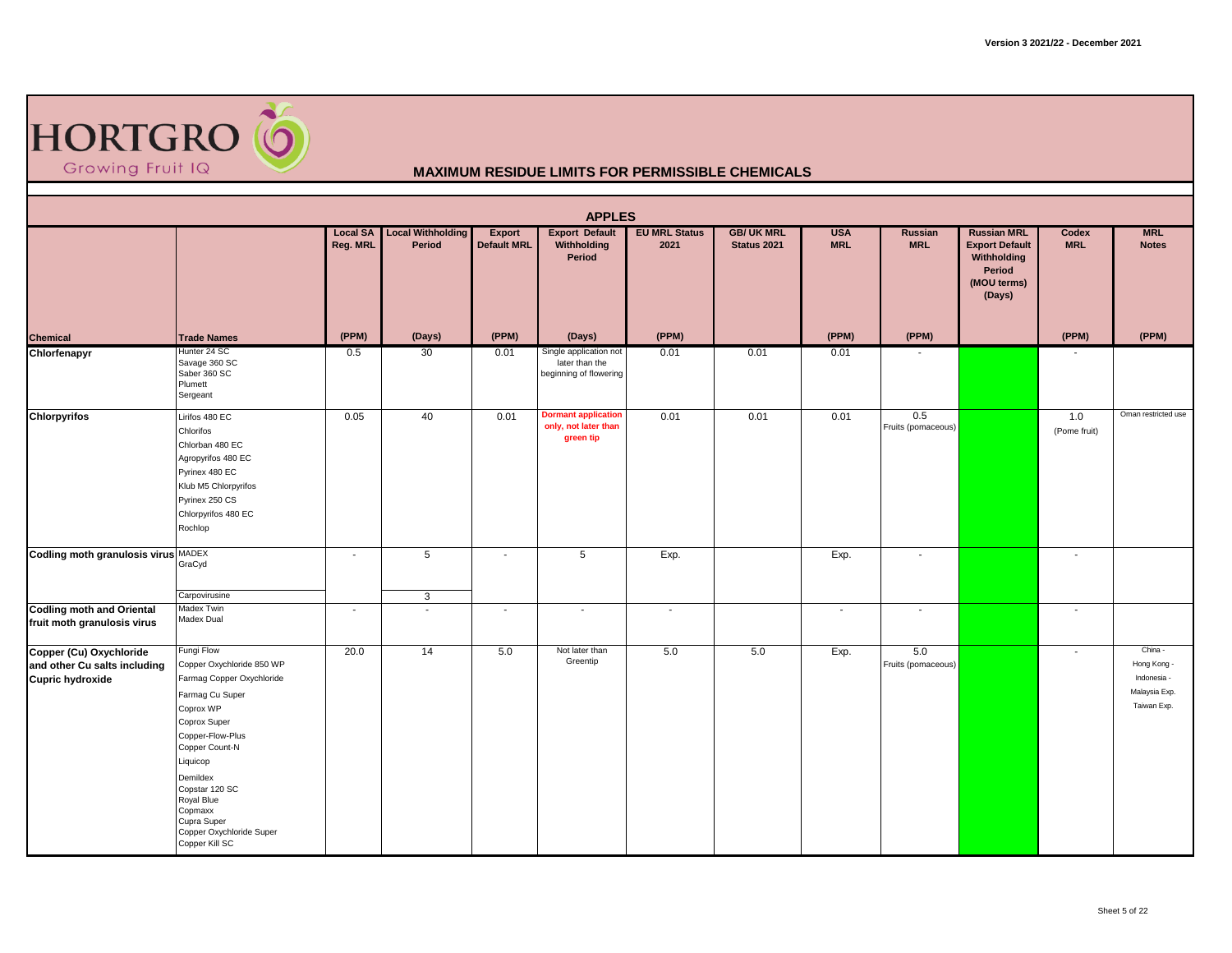

|                                                                             |                                                                                                                                                                                                                                                                                            |                             |                                    |                                     | <b>APPLES</b>                                                      |                              |                                  |                          |                           |                                                                                               |                          |                                                                       |
|-----------------------------------------------------------------------------|--------------------------------------------------------------------------------------------------------------------------------------------------------------------------------------------------------------------------------------------------------------------------------------------|-----------------------------|------------------------------------|-------------------------------------|--------------------------------------------------------------------|------------------------------|----------------------------------|--------------------------|---------------------------|-----------------------------------------------------------------------------------------------|--------------------------|-----------------------------------------------------------------------|
|                                                                             |                                                                                                                                                                                                                                                                                            | <b>Local SA</b><br>Reg. MRL | <b>Local Withholding</b><br>Period | <b>Export</b><br><b>Default MRL</b> | <b>Export Default</b><br>Withholding<br>Period                     | <b>EU MRL Status</b><br>2021 | <b>GB/ UK MRL</b><br>Status 2021 | <b>USA</b><br><b>MRL</b> | Russian<br><b>MRL</b>     | <b>Russian MRL</b><br><b>Export Default</b><br>Withholding<br>Period<br>(MOU terms)<br>(Days) | Codex<br><b>MRL</b>      | <b>MRL</b><br><b>Notes</b>                                            |
| <b>Chemical</b>                                                             | <b>Trade Names</b>                                                                                                                                                                                                                                                                         | (PPM)                       | (Days)                             | (PPM)                               | (Days)                                                             | (PPM)                        |                                  | (PPM)                    | (PPM)                     |                                                                                               | (PPM)                    | (PPM)                                                                 |
| Chlorfenapyr                                                                | Hunter 24 SC<br>Savage 360 SC<br>Saber 360 SC<br>Plumett<br>Sergeant                                                                                                                                                                                                                       | 0.5                         | 30                                 | 0.01                                | Single application not<br>later than the<br>beginning of flowering | 0.01                         | 0.01                             | 0.01                     | $\overline{\phantom{a}}$  |                                                                                               | $\blacksquare$           |                                                                       |
| <b>Chlorpyrifos</b>                                                         | Lirifos 480 EC<br>Chlorifos<br>Chlorban 480 EC<br>Agropyrifos 480 EC<br>Pyrinex 480 EC<br>Klub M5 Chlorpyrifos<br>Pyrinex 250 CS<br>Chlorpyrifos 480 EC<br>Rochlop                                                                                                                         | 0.05                        | 40                                 | 0.01                                | <b>Dormant application</b><br>only, not later than<br>green tip    | 0.01                         | 0.01                             | 0.01                     | 0.5<br>Fruits (pomaceous) |                                                                                               | 1.0<br>(Pome fruit)      | Oman restricted use                                                   |
| Codling moth granulosis virus MADEX                                         | GraCyd                                                                                                                                                                                                                                                                                     | $\sim$                      | 5                                  | $\blacksquare$                      | 5                                                                  | Exp.                         |                                  | Exp.                     | $\overline{\phantom{a}}$  |                                                                                               | $\overline{\phantom{a}}$ |                                                                       |
|                                                                             | Carpovirusine                                                                                                                                                                                                                                                                              |                             | 3                                  |                                     |                                                                    |                              |                                  |                          |                           |                                                                                               |                          |                                                                       |
| <b>Codling moth and Oriental</b><br>fruit moth granulosis virus             | Madex Twin<br>Madex Dual                                                                                                                                                                                                                                                                   | $\overline{\phantom{a}}$    | $\overline{a}$                     | $\blacksquare$                      | $\overline{\phantom{a}}$                                           | $\sim$                       |                                  | $\sim$                   | $\sim$                    |                                                                                               | $\sim$                   |                                                                       |
| Copper (Cu) Oxychloride<br>and other Cu salts including<br>Cupric hydroxide | Fungi Flow<br>Copper Oxychloride 850 WP<br>Farmag Copper Oxychloride<br>Farmag Cu Super<br>Coprox WP<br>Coprox Super<br>Copper-Flow-Plus<br>Copper Count-N<br>Liquicop<br>Demildex<br>Copstar 120 SC<br>Royal Blue<br>Copmaxx<br>Cupra Super<br>Copper Oxychloride Super<br>Copper Kill SC | 20.0                        | 14                                 | 5.0                                 | Not later than<br>Greentip                                         | 5.0                          | 5.0                              | Exp.                     | 5.0<br>Fruits (pomaceous) |                                                                                               | $\sim$                   | China -<br>Hong Kong -<br>Indonesia -<br>Malaysia Exp.<br>Taiwan Exp. |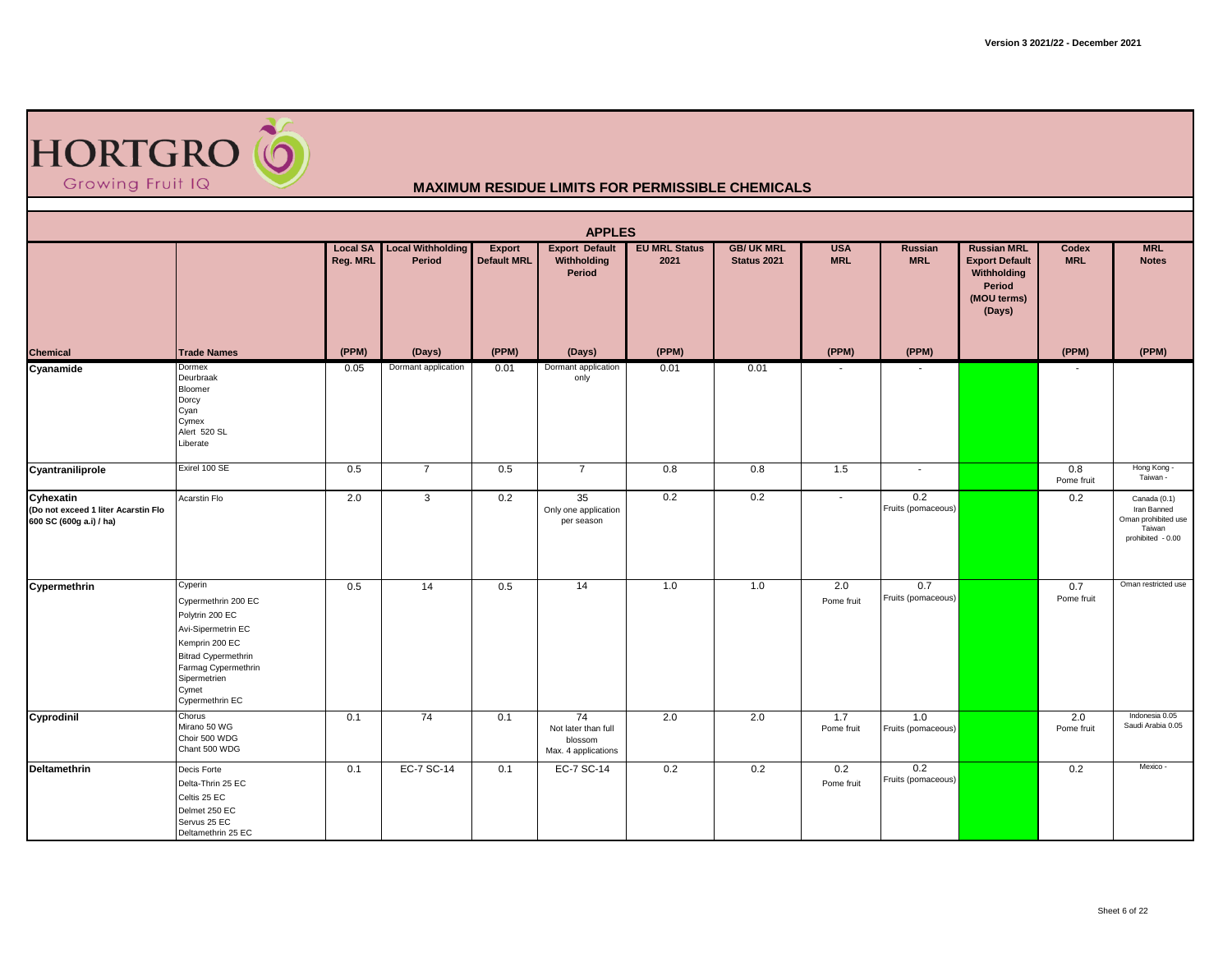| <b>HORTGRO O</b> |  |
|------------------|--|
| Growing Fruit IQ |  |

|                                                                             |                                                                                                                                                                                            |          |                                             |                                     | <b>APPLES</b>                                               |                              |                                  |                          |                              |                                                                                               |                     |                                                                                   |
|-----------------------------------------------------------------------------|--------------------------------------------------------------------------------------------------------------------------------------------------------------------------------------------|----------|---------------------------------------------|-------------------------------------|-------------------------------------------------------------|------------------------------|----------------------------------|--------------------------|------------------------------|-----------------------------------------------------------------------------------------------|---------------------|-----------------------------------------------------------------------------------|
|                                                                             |                                                                                                                                                                                            | Reg. MRL | <b>Local SA</b> Local Withholding<br>Period | <b>Export</b><br><b>Default MRL</b> | <b>Export Default</b><br>Withholding<br>Period              | <b>EU MRL Status</b><br>2021 | <b>GB/ UK MRL</b><br>Status 2021 | <b>USA</b><br><b>MRL</b> | <b>Russian</b><br><b>MRL</b> | <b>Russian MRL</b><br><b>Export Default</b><br>Withholding<br>Period<br>(MOU terms)<br>(Days) | Codex<br><b>MRL</b> | <b>MRL</b><br><b>Notes</b>                                                        |
| <b>Chemical</b>                                                             | <b>Trade Names</b>                                                                                                                                                                         | (PPM)    | (Days)                                      | (PPM)                               | (Days)                                                      | (PPM)                        |                                  | (PPM)                    | (PPM)                        |                                                                                               | (PPM)               | (PPM)                                                                             |
| Cyanamide                                                                   | Dormex<br>Deurbraak<br>Bloomer<br>Dorcy<br>Cyan<br>Cymex<br>Alert 520 SL<br>Liberate                                                                                                       | 0.05     | Dormant application                         | 0.01                                | Dormant application<br>only                                 | 0.01                         | 0.01                             |                          |                              |                                                                                               |                     |                                                                                   |
| Cyantraniliprole                                                            | Exirel 100 SE                                                                                                                                                                              | 0.5      | $\overline{7}$                              | 0.5                                 | $\overline{7}$                                              | 0.8                          | 0.8                              | 1.5                      | $\sim$                       |                                                                                               | 0.8<br>Pome fruit   | Hong Kong -<br>Taiwan -                                                           |
| Cyhexatin<br>(Do not exceed 1 liter Acarstin Flo<br>600 SC (600g a.i) / ha) | Acarstin Flo                                                                                                                                                                               | 2.0      | $\mathbf{3}$                                | 0.2                                 | 35<br>Only one application<br>per season                    | 0.2                          | 0.2                              | $\sim$                   | 0.2<br>Fruits (pomaceous)    |                                                                                               | 0.2                 | Canada (0.1)<br>Iran Banned<br>Oman prohibited use<br>Taiwan<br>prohibited - 0.00 |
| Cypermethrin                                                                | Cyperin<br>Cypermethrin 200 EC<br>Polytrin 200 EC<br>Avi-Sipermetrin EC<br>Kemprin 200 EC<br><b>Bitrad Cypermethrin</b><br>Farmag Cypermethrin<br>Sipermetrien<br>Cymet<br>Cypermethrin EC | 0.5      | 14                                          | 0.5                                 | 14                                                          | 1.0                          | 1.0                              | 2.0<br>Pome fruit        | 0.7<br>Fruits (pomaceous)    |                                                                                               | 0.7<br>Pome fruit   | Oman restricted use                                                               |
| Cyprodinil                                                                  | Chorus<br>Mirano 50 WG<br>Choir 500 WDG<br>Chant 500 WDG                                                                                                                                   | 0.1      | 74                                          | 0.1                                 | 74<br>Not later than full<br>blossom<br>Max. 4 applications | 2.0                          | 2.0                              | 1.7<br>Pome fruit        | 1.0<br>Fruits (pomaceous)    |                                                                                               | 2.0<br>Pome fruit   | Indonesia 0.05<br>Saudi Arabia 0.05                                               |
| Deltamethrin                                                                | Decis Forte<br>Delta-Thrin 25 EC<br>Celtis 25 EC<br>Delmet 250 EC<br>Servus 25 EC<br>Deltamethrin 25 EC                                                                                    | 0.1      | EC-7 SC-14                                  | 0.1                                 | EC-7 SC-14                                                  | 0.2                          | 0.2                              | 0.2<br>Pome fruit        | 0.2<br>Fruits (pomaceous)    |                                                                                               | 0.2                 | Mexico -                                                                          |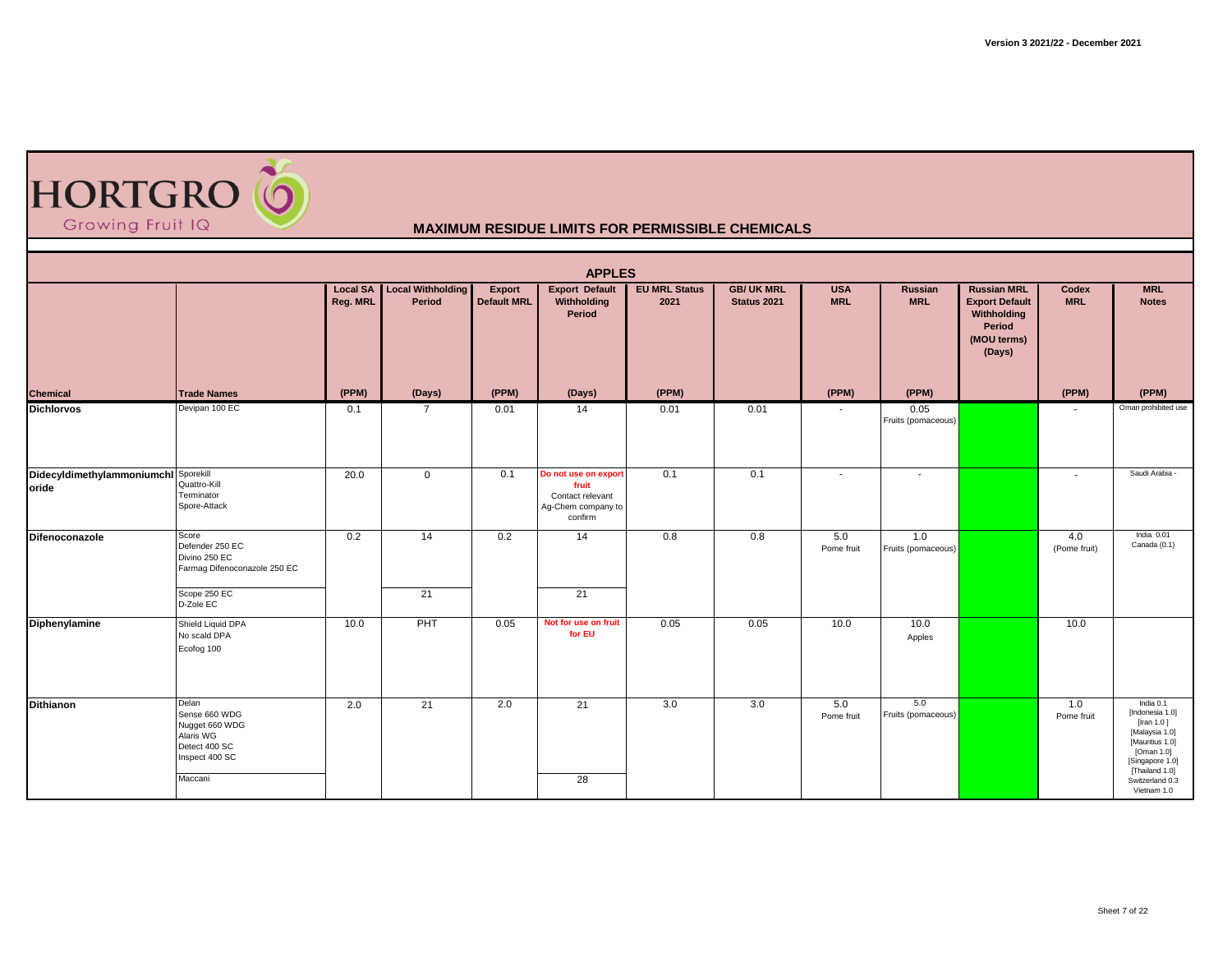

| <b>APPLES</b><br><b>Local SA Local Withholding</b> |                                                                                                     |          |                |                                     |                                                                                    |                              |                                 |                          |                              |                                                                                               |                     |                                                                                                                                                                         |  |  |
|----------------------------------------------------|-----------------------------------------------------------------------------------------------------|----------|----------------|-------------------------------------|------------------------------------------------------------------------------------|------------------------------|---------------------------------|--------------------------|------------------------------|-----------------------------------------------------------------------------------------------|---------------------|-------------------------------------------------------------------------------------------------------------------------------------------------------------------------|--|--|
|                                                    |                                                                                                     | Reg. MRL | Period         | <b>Export</b><br><b>Default MRL</b> | <b>Export Default</b><br>Withholding<br>Period                                     | <b>EU MRL Status</b><br>2021 | <b>GB/UK MRL</b><br>Status 2021 | <b>USA</b><br><b>MRL</b> | <b>Russian</b><br><b>MRL</b> | <b>Russian MRL</b><br><b>Export Default</b><br>Withholding<br>Period<br>(MOU terms)<br>(Days) | Codex<br><b>MRL</b> | <b>MRL</b><br><b>Notes</b>                                                                                                                                              |  |  |
| Chemical                                           | <b>Trade Names</b>                                                                                  | (PPM)    | (Days)         | (PPM)                               | (Days)                                                                             | (PPM)                        |                                 | (PPM)                    | (PPM)                        |                                                                                               | (PPM)               | (PPM)                                                                                                                                                                   |  |  |
| <b>Dichlorvos</b>                                  | Devipan 100 EC                                                                                      | 0.1      | $\overline{7}$ | 0.01                                | 14                                                                                 | 0.01                         | 0.01                            |                          | 0.05<br>Fruits (pomaceous)   |                                                                                               |                     | Oman prohibited use                                                                                                                                                     |  |  |
| Didecyldimethylammoniumchl Sporekill<br>oride      | Quattro-Kill<br>Terminator<br>Spore-Attack                                                          | 20.0     | $\overline{0}$ | 0.1                                 | Do not use on export<br>fruit<br>Contact relevant<br>Ag-Chem company to<br>confirm | 0.1                          | 0.1                             | $\sim$                   | $\sim$                       |                                                                                               | $\sim$              | Saudi Arabia                                                                                                                                                            |  |  |
| Difenoconazole                                     | Score<br>Defender 250 EC<br>Divino 250 EC<br>Farmag Difenoconazole 250 EC<br>Scope 250 EC           | 0.2      | 14             | 0.2                                 | $\overline{14}$                                                                    | 0.8                          | 0.8                             | 5.0<br>Pome fruit        | 1.0<br>Fruits (pomaceous)    |                                                                                               | 4.0<br>(Pome fruit) | India 0.01<br>Canada (0.1)                                                                                                                                              |  |  |
|                                                    | D-Zole EC                                                                                           |          | 21             |                                     | 21                                                                                 |                              |                                 |                          |                              |                                                                                               |                     |                                                                                                                                                                         |  |  |
| Diphenylamine                                      | Shield Liquid DPA<br>No scald DPA<br>Ecofog 100                                                     | 10.0     | PHT            | 0.05                                | Not for use on fruit<br>for EU                                                     | 0.05                         | 0.05                            | 10.0                     | 10.0<br>Apples               |                                                                                               | 10.0                |                                                                                                                                                                         |  |  |
| <b>Dithianon</b>                                   | Delan<br>Sense 660 WDG<br>Nugget 660 WDG<br>Alaris WG<br>Detect 400 SC<br>Inspect 400 SC<br>Maccani | 2.0      | 21             | 2.0                                 | 21<br>28                                                                           | 3.0                          | 3.0                             | 5.0<br>Pome fruit        | 5.0<br>Fruits (pomaceous)    |                                                                                               | 1.0<br>Pome fruit   | India 0.1<br>[Indonesia 1.0]<br>[Iran $1.0$ ]<br>[Malaysia 1.0]<br>[Mauritius 1.0]<br>[Oman 1.0]<br>[Singapore 1.0]<br>[Thailand 1.0]<br>Switzerland 0.3<br>Vietnam 1.0 |  |  |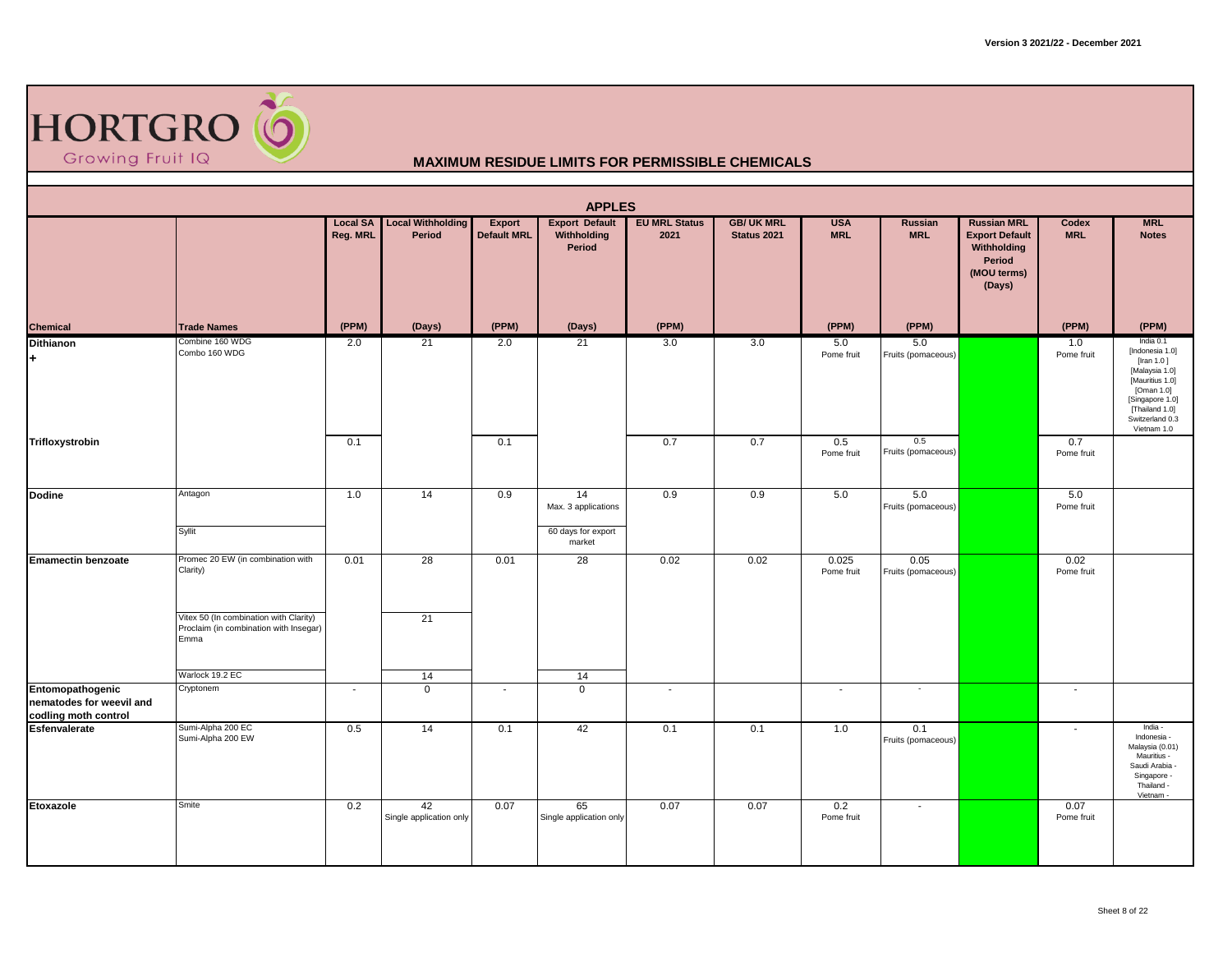

|                                                                   | <b>APPLES</b><br><b>Local Withholding</b><br><b>EU MRL Status</b><br><b>GB/ UK MRL</b><br><b>Local SA</b><br>Export<br><b>Export Default</b><br><b>USA</b><br>Russian<br><b>Russian MRL</b><br>Codex<br><b>MRL</b> |          |                               |                          |                                                 |        |                    |                          |                            |                                                                         |                    |                                                                                                                                                                      |  |  |  |
|-------------------------------------------------------------------|--------------------------------------------------------------------------------------------------------------------------------------------------------------------------------------------------------------------|----------|-------------------------------|--------------------------|-------------------------------------------------|--------|--------------------|--------------------------|----------------------------|-------------------------------------------------------------------------|--------------------|----------------------------------------------------------------------------------------------------------------------------------------------------------------------|--|--|--|
|                                                                   |                                                                                                                                                                                                                    | Reg. MRL | Period                        | <b>Default MRL</b>       | Withholding<br>Period                           | 2021   | <b>Status 2021</b> | <b>MRL</b>               | <b>MRL</b>                 | <b>Export Default</b><br>Withholding<br>Period<br>(MOU terms)<br>(Days) | <b>MRL</b>         | <b>Notes</b>                                                                                                                                                         |  |  |  |
| Chemical                                                          | <b>Trade Names</b>                                                                                                                                                                                                 | (PPM)    | (Days)                        | (PPM)                    | (Days)                                          | (PPM)  |                    | (PPM)                    | (PPM)                      |                                                                         | (PPM)              | (PPM)                                                                                                                                                                |  |  |  |
| <b>Dithianon</b><br>+                                             | Combine 160 WDG<br>Combo 160 WDG                                                                                                                                                                                   | 2.0      | 21                            | 2.0                      | 21                                              | 3.0    | 3.0                | 5.0<br>Pome fruit        | 5.0<br>Fruits (pomaceous)  |                                                                         | 1.0<br>Pome fruit  | India 0.1<br>[Indonesia 1.0]<br>[Iran 1.0]<br>[Malaysia 1.0]<br>[Mauritius 1.0]<br>[Oman 1.0]<br>[Singapore 1.0]<br>[Thailand 1.0]<br>Switzerland 0.3<br>Vietnam 1.0 |  |  |  |
| Trifloxystrobin                                                   |                                                                                                                                                                                                                    | 0.1      |                               | 0.1                      |                                                 | 0.7    | 0.7                | 0.5<br>Pome fruit        | 0.5<br>Fruits (pomaceous)  |                                                                         | 0.7<br>Pome fruit  |                                                                                                                                                                      |  |  |  |
| <b>Dodine</b>                                                     | Antagon<br>Syllit                                                                                                                                                                                                  | 1.0      | 14                            | 0.9                      | 14<br>Max. 3 applications<br>60 days for export | 0.9    | 0.9                | 5.0                      | 5.0<br>Fruits (pomaceous)  |                                                                         | 5.0<br>Pome fruit  |                                                                                                                                                                      |  |  |  |
|                                                                   |                                                                                                                                                                                                                    |          |                               |                          | market                                          |        |                    |                          |                            |                                                                         |                    |                                                                                                                                                                      |  |  |  |
| <b>Emamectin benzoate</b>                                         | Promec 20 EW (in combination with<br>Clarity)                                                                                                                                                                      | 0.01     | 28                            | 0.01                     | 28                                              | 0.02   | 0.02               | 0.025<br>Pome fruit      | 0.05<br>Fruits (pomaceous) |                                                                         | 0.02<br>Pome fruit |                                                                                                                                                                      |  |  |  |
|                                                                   | Vitex 50 (In combination with Clarity)<br>Proclaim (in combination with Insegar)<br>Emma                                                                                                                           |          | 21                            |                          |                                                 |        |                    |                          |                            |                                                                         |                    |                                                                                                                                                                      |  |  |  |
| Entomopathogenic                                                  | Warlock 19.2 EC<br>Cryptonem                                                                                                                                                                                       | $\sim$   | 14<br>$\overline{0}$          | $\overline{\phantom{a}}$ | 14<br>$\mathbf 0$                               | $\sim$ |                    | $\overline{\phantom{a}}$ | $\sim$                     |                                                                         | $\sim$             |                                                                                                                                                                      |  |  |  |
| nematodes for weevil and<br>codling moth control<br>Esfenvalerate |                                                                                                                                                                                                                    |          |                               |                          |                                                 |        |                    |                          |                            |                                                                         |                    |                                                                                                                                                                      |  |  |  |
|                                                                   | Sumi-Alpha 200 EC<br>Sumi-Alpha 200 EW                                                                                                                                                                             | 0.5      | 14                            | 0.1                      | 42                                              | 0.1    | 0.1                | 1.0                      | 0.1<br>Fruits (pomaceous)  |                                                                         | $\sim$             | India -<br>Indonesia -<br>Malaysia (0.01)<br>Mauritius -<br>Saudi Arabia -<br>Singapore -<br>Thailand -<br>Vietnam -                                                 |  |  |  |
| Etoxazole                                                         | Smite                                                                                                                                                                                                              | 0.2      | 42<br>Single application only | 0.07                     | 65<br>Single application only                   | 0.07   | 0.07               | 0.2<br>Pome fruit        | $\sim$                     |                                                                         | 0.07<br>Pome fruit |                                                                                                                                                                      |  |  |  |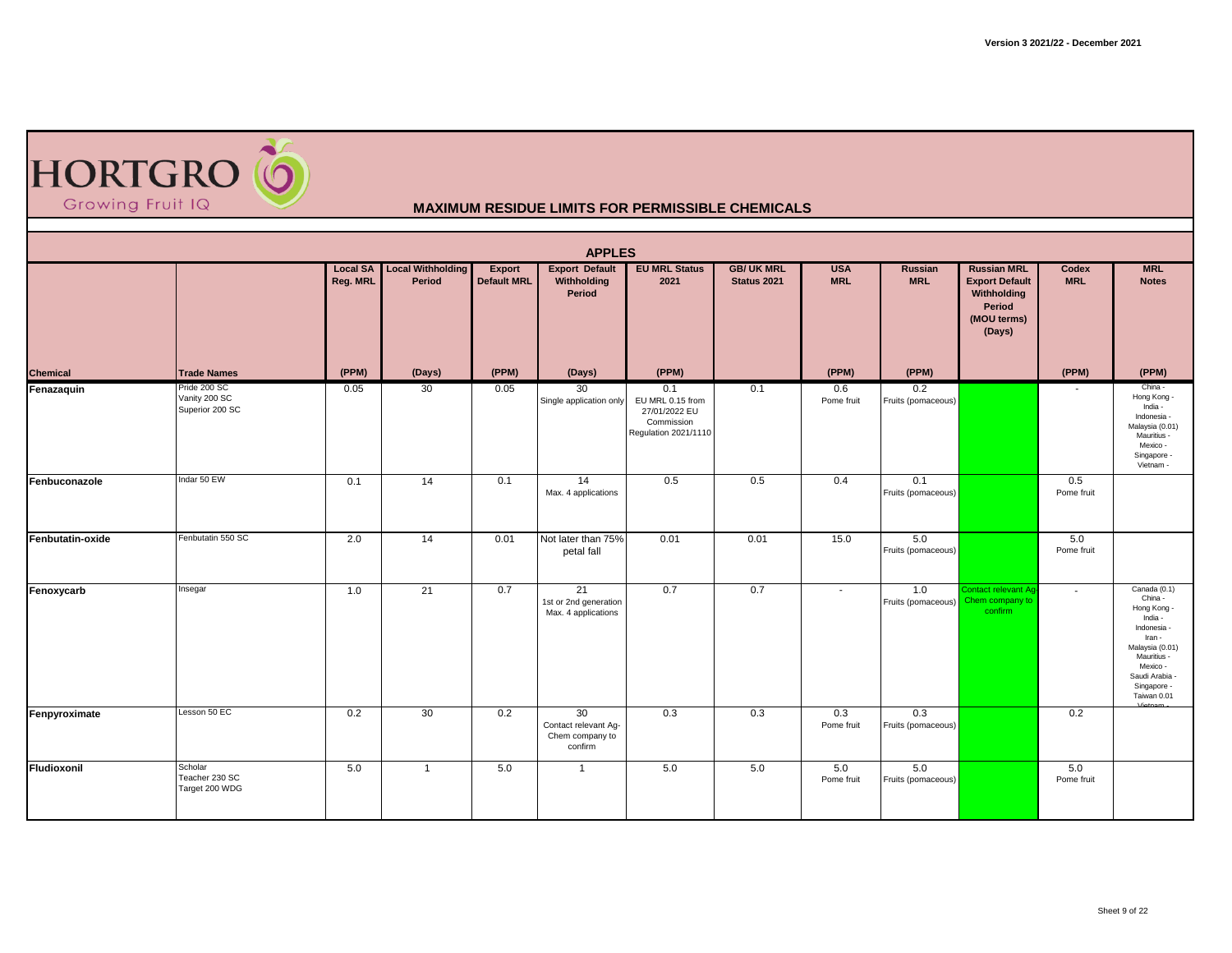

| <b>APPLES</b><br>Local Withholding |                                                  |                             |                |                              |                                                          |                                                                                |                                        |                          |                           |                                                                                               |                          |                                                                                                                                                                                   |  |  |
|------------------------------------|--------------------------------------------------|-----------------------------|----------------|------------------------------|----------------------------------------------------------|--------------------------------------------------------------------------------|----------------------------------------|--------------------------|---------------------------|-----------------------------------------------------------------------------------------------|--------------------------|-----------------------------------------------------------------------------------------------------------------------------------------------------------------------------------|--|--|
|                                    |                                                  | <b>Local SA</b><br>Reg. MRL | Period         | Export<br><b>Default MRL</b> | <b>Export Default</b><br>Withholding<br>Period           | <b>EU MRL Status</b><br>2021                                                   | <b>GB/UK MRL</b><br><b>Status 2021</b> | <b>USA</b><br><b>MRL</b> | Russian<br><b>MRL</b>     | <b>Russian MRL</b><br><b>Export Default</b><br>Withholding<br>Period<br>(MOU terms)<br>(Days) | Codex<br><b>MRL</b>      | <b>MRL</b><br><b>Notes</b>                                                                                                                                                        |  |  |
| <b>Chemical</b>                    | <b>Trade Names</b>                               | (PPM)                       | (Days)         | (PPM)                        | (Days)                                                   | (PPM)                                                                          |                                        | (PPM)                    | (PPM)                     |                                                                                               | (PPM)                    | (PPM)                                                                                                                                                                             |  |  |
| Fenazaquin                         | Pride 200 SC<br>Vanity 200 SC<br>Superior 200 SC | 0.05                        | 30             | 0.05                         | 30<br>Single application only                            | 0.1<br>EU MRL 0.15 from<br>27/01/2022 EU<br>Commission<br>Regulation 2021/1110 | 0.1                                    | 0.6<br>Pome fruit        | 0.2<br>Fruits (pomaceous) |                                                                                               |                          | China -<br>Hong Kong -<br>India -<br>Indonesia -<br>Malaysia (0.01)<br>Mauritius -<br>Mexico -<br>Singapore -<br>Vietnam -                                                        |  |  |
| Fenbuconazole                      | Indar 50 EW                                      | 0.1                         | 14             | 0.1                          | $\overline{14}$<br>Max. 4 applications                   | 0.5                                                                            | 0.5                                    | 0.4                      | 0.1<br>Fruits (pomaceous) |                                                                                               | 0.5<br>Pome fruit        |                                                                                                                                                                                   |  |  |
| Fenbutatin-oxide                   | Fenbutatin 550 SC                                | 2.0                         | 14             | 0.01                         | Not later than 75%<br>petal fall                         | 0.01                                                                           | 0.01                                   | 15.0                     | 5.0<br>Fruits (pomaceous) |                                                                                               | 5.0<br>Pome fruit        |                                                                                                                                                                                   |  |  |
| Fenoxycarb                         | Insegar                                          | 1.0                         | 21             | 0.7                          | 21<br>1st or 2nd generation<br>Max. 4 applications       | 0.7                                                                            | 0.7                                    | $\sim$                   | 1.0<br>Fruits (pomaceous) | Contact relevant Ag<br>Chem company to<br>confirm                                             | $\overline{\phantom{a}}$ | Canada (0.1)<br>China -<br>Hong Kong -<br>India -<br>Indonesia -<br>Iran -<br>Malaysia (0.01)<br>Mauritius -<br>Mexico -<br>Saudi Arabia<br>Singapore -<br>Taiwan 0.01<br>Vietnam |  |  |
| Fenpyroximate                      | Lesson 50 EC                                     | 0.2                         | 30             | 0.2                          | 30<br>Contact relevant Ag-<br>Chem company to<br>confirm | 0.3                                                                            | 0.3                                    | 0.3<br>Pome fruit        | 0.3<br>Fruits (pomaceous) |                                                                                               | 0.2                      |                                                                                                                                                                                   |  |  |
| Fludioxonil                        | Scholar<br>Teacher 230 SC<br>Target 200 WDG      | 5.0                         | $\overline{1}$ | 5.0                          | $\mathbf{1}$                                             | 5.0                                                                            | 5.0                                    | 5.0<br>Pome fruit        | 5.0<br>Fruits (pomaceous) |                                                                                               | 5.0<br>Pome fruit        |                                                                                                                                                                                   |  |  |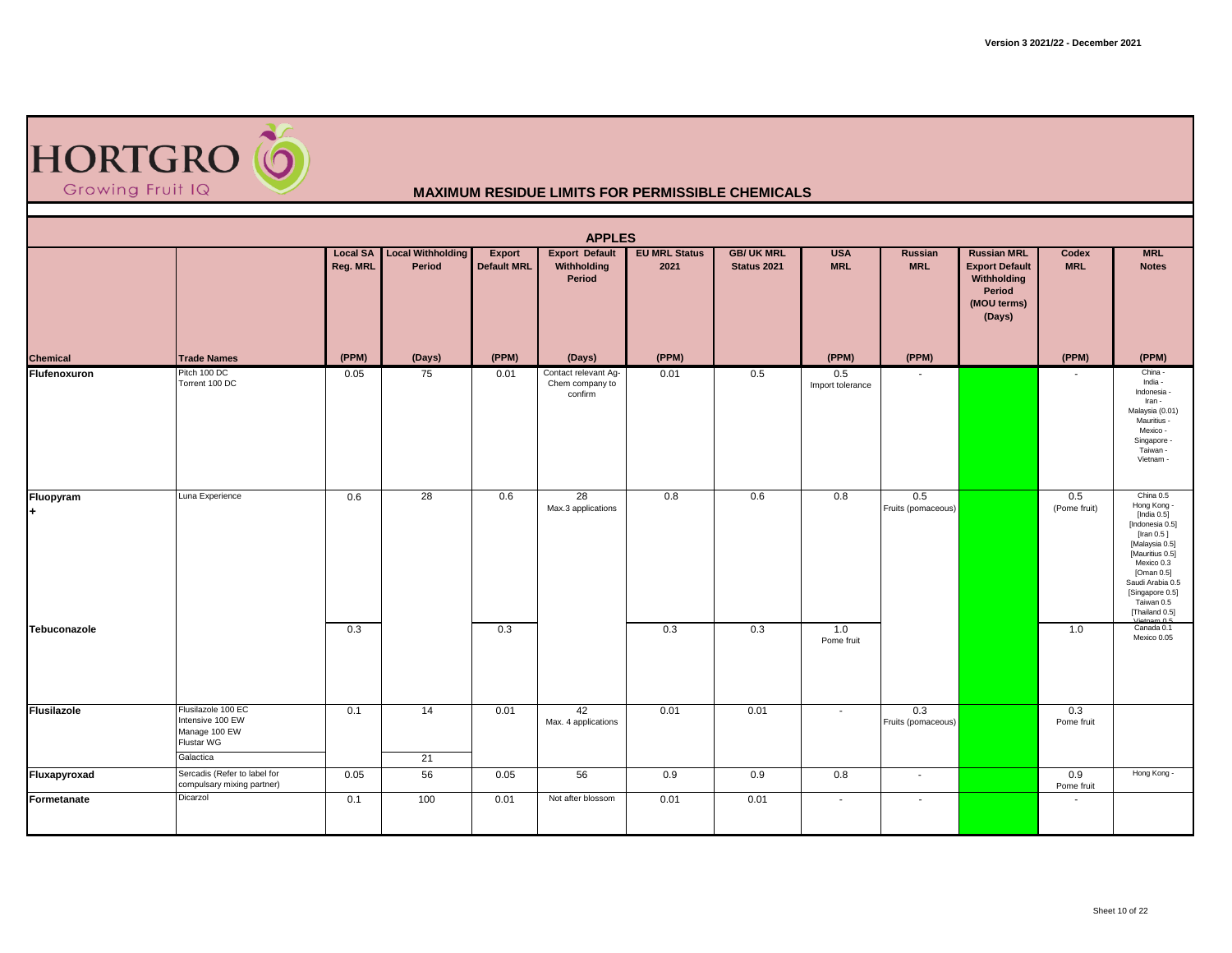| HORTGRO <sup>6</sup><br>Growing Fruit IQ<br><b>MAXIMUM RESIDUE LIMITS FOR PERMISSIBLE CHEMICALS</b> |                                                                                    |                             |                                    |                              |                                                    |                              |                                  |                          |                           |                                                                                               |                     |                                                                                                                                                                                                                     |  |  |
|-----------------------------------------------------------------------------------------------------|------------------------------------------------------------------------------------|-----------------------------|------------------------------------|------------------------------|----------------------------------------------------|------------------------------|----------------------------------|--------------------------|---------------------------|-----------------------------------------------------------------------------------------------|---------------------|---------------------------------------------------------------------------------------------------------------------------------------------------------------------------------------------------------------------|--|--|
|                                                                                                     | <b>APPLES</b>                                                                      |                             |                                    |                              |                                                    |                              |                                  |                          |                           |                                                                                               |                     |                                                                                                                                                                                                                     |  |  |
|                                                                                                     |                                                                                    | <b>Local SA</b><br>Reg. MRL | <b>Local Withholding</b><br>Period | Export<br><b>Default MRL</b> | <b>Export Default</b><br>Withholding<br>Period     | <b>EU MRL Status</b><br>2021 | <b>GB/ UK MRL</b><br>Status 2021 | <b>USA</b><br><b>MRL</b> | Russian<br><b>MRL</b>     | <b>Russian MRL</b><br><b>Export Default</b><br>Withholding<br>Period<br>(MOU terms)<br>(Days) | Codex<br><b>MRL</b> | <b>MRL</b><br><b>Notes</b>                                                                                                                                                                                          |  |  |
| Chemical                                                                                            | <b>Trade Names</b>                                                                 | (PPM)                       | (Days)                             | (PPM)                        | (Days)                                             | (PPM)                        |                                  | (PPM)                    | (PPM)                     |                                                                                               | (PPM)               | (PPM)                                                                                                                                                                                                               |  |  |
| Flufenoxuron                                                                                        | Pitch 100 DC<br>Torrent 100 DC                                                     | 0.05                        | 75                                 | 0.01                         | Contact relevant Ag-<br>Chem company to<br>confirm | 0.01                         | 0.5                              | 0.5<br>Import tolerance  |                           |                                                                                               |                     | China -<br>India -<br>Indonesia -<br>Iran -<br>Malaysia (0.01)<br>Mauritius -<br>Mexico -<br>Singapore -<br>Taiwan -<br>Vietnam -                                                                                   |  |  |
| Fluopyram<br>l+                                                                                     | Luna Experience                                                                    | 0.6                         | 28                                 | 0.6                          | 28<br>Max.3 applications                           | 0.8                          | 0.6                              | 0.8                      | 0.5<br>Fruits (pomaceous) |                                                                                               | 0.5<br>(Pome fruit) | China 0.5<br>Hong Kong -<br>[India $0.5$ ]<br>[Indonesia 0.5]<br>[Iran 0.5]<br>[Malaysia 0.5]<br>[Mauritius 0.5]<br>Mexico 0.3<br>[Oman 0.5]<br>Saudi Arabia 0.5<br>[Singapore 0.5]<br>Taiwan 0.5<br>[Thailand 0.5] |  |  |
| Tebuconazole                                                                                        |                                                                                    | 0.3                         |                                    | 0.3                          |                                                    | 0.3                          | 0.3                              | 1.0<br>Pome fruit        |                           |                                                                                               | 1.0                 | Canada 0.1<br>Mexico 0.05                                                                                                                                                                                           |  |  |
| <b>Flusilazole</b>                                                                                  | Flusilazole 100 EC<br>Intensive 100 EW<br>Manage 100 EW<br>Flustar WG<br>Galactica | 0.1                         | 14<br>21                           | 0.01                         | 42<br>Max. 4 applications                          | 0.01                         | 0.01                             | $\tilde{\phantom{a}}$    | 0.3<br>Fruits (pomaceous) |                                                                                               | 0.3<br>Pome fruit   |                                                                                                                                                                                                                     |  |  |
| Fluxapyroxad                                                                                        | Sercadis (Refer to label for<br>compulsary mixing partner)                         | 0.05                        | 56                                 | 0.05                         | 56                                                 | 0.9                          | 0.9                              | 0.8                      | $\sim$                    |                                                                                               | 0.9<br>Pome fruit   | Hong Kong -                                                                                                                                                                                                         |  |  |
| Formetanate                                                                                         | Dicarzol                                                                           | 0.1                         | 100                                | 0.01                         | Not after blossom                                  | 0.01                         | 0.01                             | $\overline{\phantom{a}}$ | $\overline{\phantom{a}}$  |                                                                                               | $\blacksquare$      |                                                                                                                                                                                                                     |  |  |

Г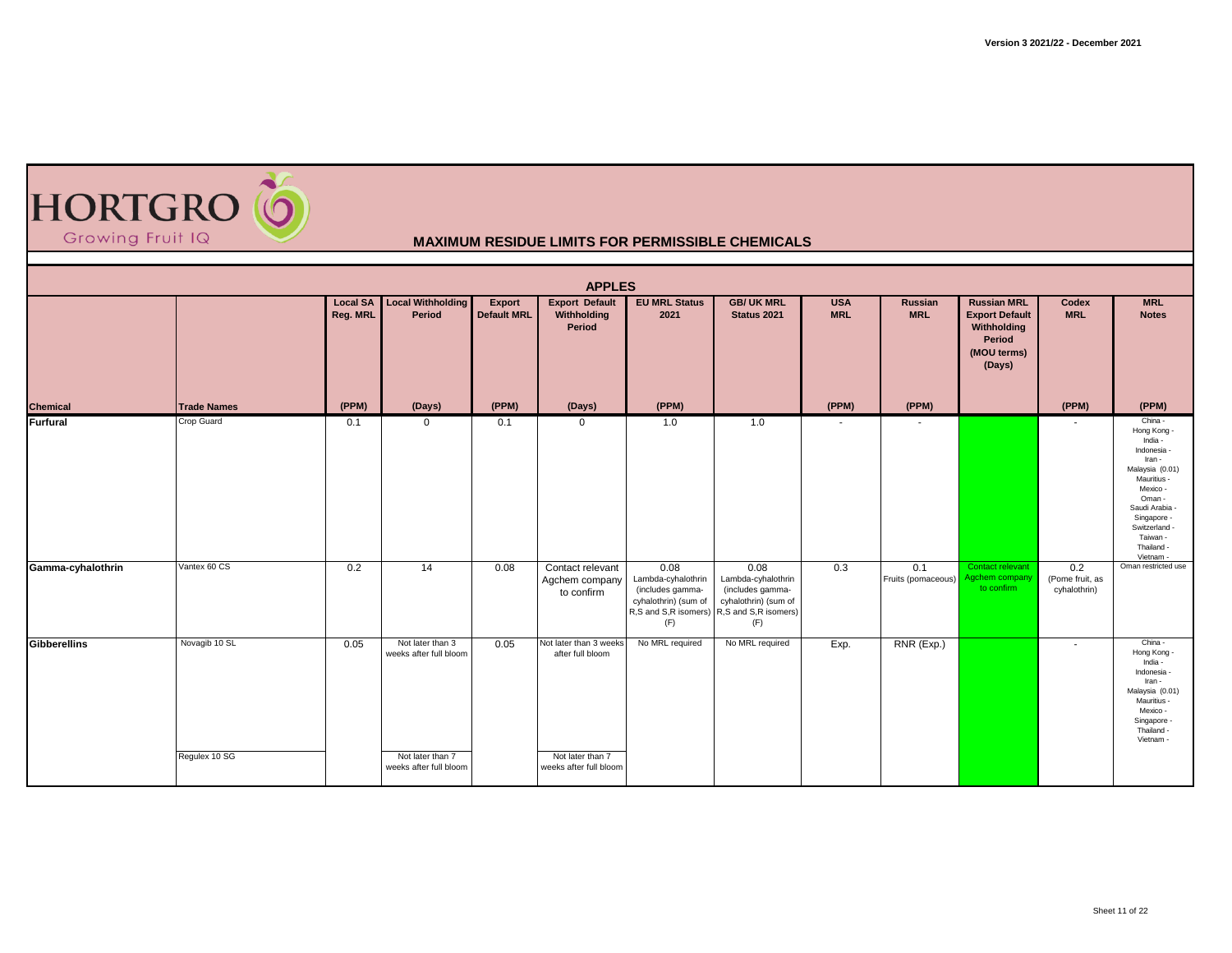

| <b>APPLES</b><br><b>Local Withholding</b><br><b>Export Default</b><br><b>EU MRL Status</b><br><b>GB/ UK MRL</b><br><b>Russian MRL</b><br><b>Local SA</b><br><b>USA</b><br><b>MRL</b><br>Russian<br>Codex |                                |          |                                                                                          |                              |                                                                                          |                                                                                                       |                                                                                                       |                |                           |                                                                         |                                        |                                                                                                                                                                                                           |  |  |
|----------------------------------------------------------------------------------------------------------------------------------------------------------------------------------------------------------|--------------------------------|----------|------------------------------------------------------------------------------------------|------------------------------|------------------------------------------------------------------------------------------|-------------------------------------------------------------------------------------------------------|-------------------------------------------------------------------------------------------------------|----------------|---------------------------|-------------------------------------------------------------------------|----------------------------------------|-----------------------------------------------------------------------------------------------------------------------------------------------------------------------------------------------------------|--|--|
|                                                                                                                                                                                                          |                                | Reg. MRL | Period                                                                                   | Export<br><b>Default MRL</b> | Withholding<br>Period                                                                    | 2021                                                                                                  | Status 2021                                                                                           | <b>MRL</b>     | <b>MRL</b>                | <b>Export Default</b><br>Withholding<br>Period<br>(MOU terms)<br>(Days) | <b>MRL</b>                             | <b>Notes</b>                                                                                                                                                                                              |  |  |
| <b>Chemical</b>                                                                                                                                                                                          | <b>Trade Names</b>             | (PPM)    | (Days)                                                                                   | (PPM)                        | (Days)                                                                                   | (PPM)                                                                                                 |                                                                                                       | (PPM)          | (PPM)                     |                                                                         | (PPM)                                  | (PPM)                                                                                                                                                                                                     |  |  |
| <b>Furfural</b>                                                                                                                                                                                          | Crop Guard                     | 0.1      | $\mathbf 0$                                                                              | 0.1                          | 0                                                                                        | 1.0                                                                                                   | 1.0                                                                                                   | $\blacksquare$ | $\overline{\phantom{a}}$  |                                                                         |                                        | China -<br>Hong Kong -<br>India -<br>Indonesia -<br>Iran -<br>Malaysia (0.01)<br>Mauritius -<br>Mexico -<br>Oman -<br>Saudi Arabia<br>Singapore -<br>Switzerland -<br>Taiwan -<br>Thailand -<br>Vietnam - |  |  |
| Gamma-cyhalothrin                                                                                                                                                                                        | Vantex 60 CS                   | 0.2      | $\overline{14}$                                                                          | 0.08                         | Contact relevant<br>Agchem company<br>to confirm                                         | 0.08<br>Lambda-cyhalothrin<br>(includes gamma-<br>cyhalothrin) (sum of<br>R,S and S,R isomers)<br>(F) | 0.08<br>Lambda-cyhalothrin<br>(includes gamma-<br>cyhalothrin) (sum of<br>R,S and S,R isomers)<br>(F) | 0.3            | 0.1<br>Fruits (pomaceous) | Contact relevant<br>Agchem company<br>to confirm                        | 0.2<br>(Pome fruit, as<br>cyhalothrin) | Oman restricted use                                                                                                                                                                                       |  |  |
| Gibberellins                                                                                                                                                                                             | Novagib 10 SL<br>Regulex 10 SG | 0.05     | Not later than 3<br>weeks after full bloom<br>Not later than 7<br>weeks after full bloom | 0.05                         | Not later than 3 weeks<br>after full bloom<br>Not later than 7<br>weeks after full bloom | No MRL required                                                                                       | No MRL required                                                                                       | Exp.           | RNR (Exp.)                |                                                                         | $\blacksquare$                         | China -<br>Hong Kong -<br>India -<br>Indonesia -<br>Iran -<br>Malaysia (0.01)<br>Mauritius -<br>Mexico -<br>Singapore<br>Thailand -<br>Vietnam -                                                          |  |  |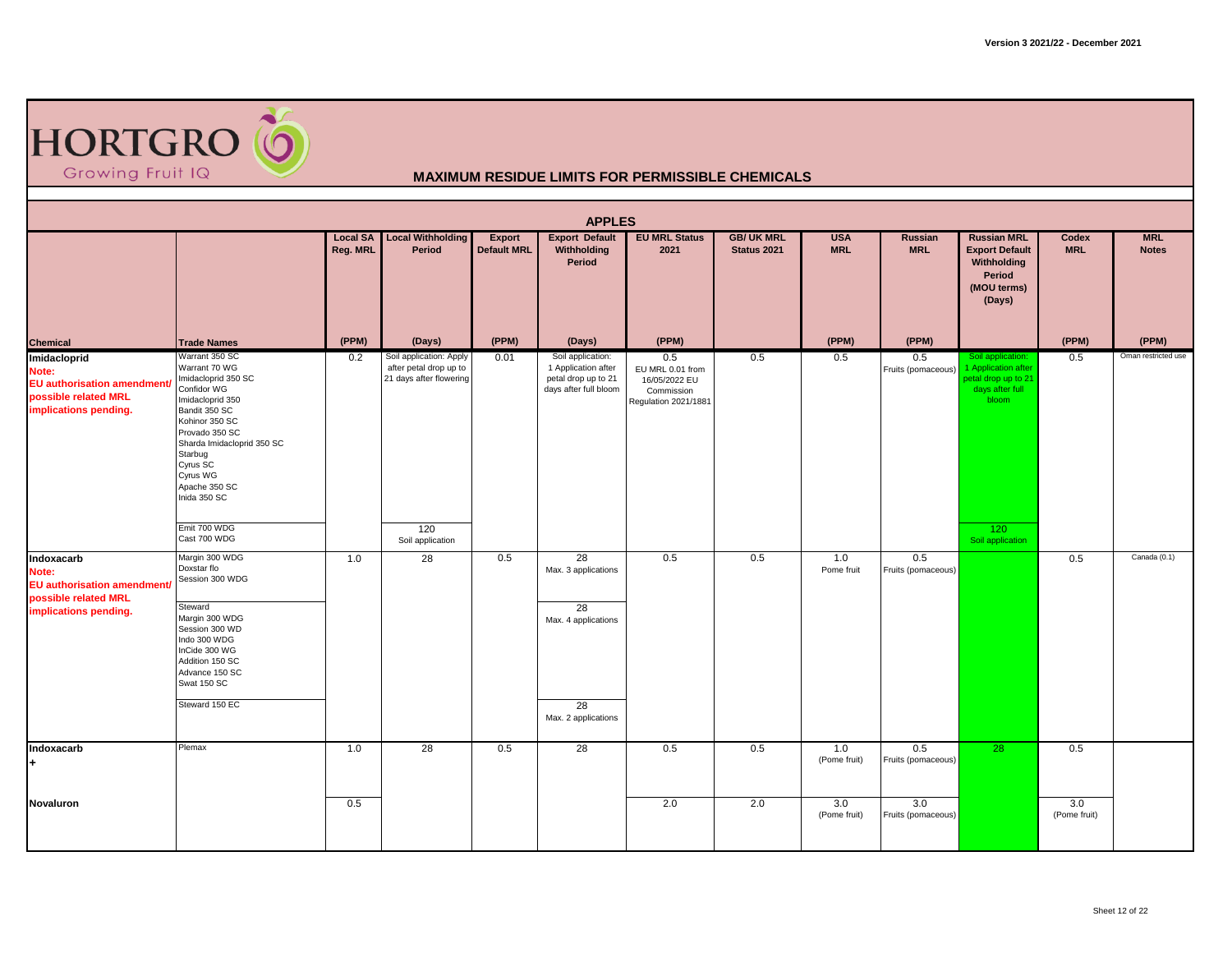

|                                                                                              |                                                                                                                                                                                                                                                                                  |                             |                                                                                                         |                              | <b>APPLES</b>                                                                            |                                                                                |                                  |                          |                           |                                                                                                                        |                     |                            |
|----------------------------------------------------------------------------------------------|----------------------------------------------------------------------------------------------------------------------------------------------------------------------------------------------------------------------------------------------------------------------------------|-----------------------------|---------------------------------------------------------------------------------------------------------|------------------------------|------------------------------------------------------------------------------------------|--------------------------------------------------------------------------------|----------------------------------|--------------------------|---------------------------|------------------------------------------------------------------------------------------------------------------------|---------------------|----------------------------|
|                                                                                              |                                                                                                                                                                                                                                                                                  | <b>Local SA</b><br>Reg. MRL | <b>Local Withholding</b><br>Period                                                                      | Export<br><b>Default MRL</b> | <b>Export Default</b><br>Withholding<br>Period                                           | <b>EU MRL Status</b><br>2021                                                   | <b>GB/ UK MRL</b><br>Status 2021 | <b>USA</b><br><b>MRL</b> | Russian<br><b>MRL</b>     | <b>Russian MRL</b><br><b>Export Default</b><br>Withholding<br>Period<br>(MOU terms)<br>(Days)                          | Codex<br><b>MRL</b> | <b>MRL</b><br><b>Notes</b> |
| Chemical<br>Imidacloprid                                                                     | <b>Trade Names</b>                                                                                                                                                                                                                                                               | (PPM)                       | (Days)                                                                                                  | (PPM)                        | (Days)                                                                                   | (PPM)                                                                          |                                  | (PPM)                    | (PPM)                     |                                                                                                                        | (PPM)               | (PPM)                      |
| Note:<br><b>EU</b> authorisation amendment/<br>possible related MRL<br>implications pending. | Warrant 350 SC<br>Warrant 70 WG<br>Imidacloprid 350 SC<br>Confidor WG<br>Imidacloprid 350<br>Bandit 350 SC<br>Kohinor 350 SC<br>Provado 350 SC<br>Sharda Imidacloprid 350 SC<br>Starbug<br>Cyrus SC<br>Cyrus WG<br>Apache 350 SC<br>Inida 350 SC<br>Emit 700 WDG<br>Cast 700 WDG | 0.2                         | Soil application: Apply<br>after petal drop up to<br>21 days after flowering<br>120<br>Soil application | 0.01                         | Soil application:<br>1 Application after<br>petal drop up to 21<br>days after full bloom | 0.5<br>EU MRL 0.01 from<br>16/05/2022 EU<br>Commission<br>Regulation 2021/1881 | 0.5                              | 0.5                      | 0.5<br>Fruits (pomaceous) | Soil application:<br>1 Application after<br>betal drop up to 21<br>days after full<br>bloom<br>120<br>Soil application | 0.5                 | Oman restricted use        |
| Indoxacarb<br>Note:<br><b>EU</b> authorisation amendment/                                    | Margin 300 WDG<br>Doxstar flo<br>Session 300 WDG                                                                                                                                                                                                                                 | 1.0                         | 28                                                                                                      | 0.5                          | 28<br>Max. 3 applications                                                                | 0.5                                                                            | 0.5                              | 1.0<br>Pome fruit        | 0.5<br>Fruits (pomaceous) |                                                                                                                        | 0.5                 | Canada (0.1)               |
| possible related MRL<br>implications pending.                                                | Steward<br>Margin 300 WDG<br>Session 300 WD<br>Indo 300 WDG<br>InCide 300 WG<br>Addition 150 SC<br>Advance 150 SC<br>Swat 150 SC<br>Steward 150 EC                                                                                                                               |                             |                                                                                                         |                              | 28<br>Max. 4 applications<br>28<br>Max. 2 applications                                   |                                                                                |                                  |                          |                           |                                                                                                                        |                     |                            |
| Indoxacarb                                                                                   | Plemax                                                                                                                                                                                                                                                                           | 1.0                         | 28                                                                                                      | 0.5                          | 28                                                                                       | 0.5                                                                            | 0.5                              | 1.0                      | 0.5                       | 28                                                                                                                     | 0.5                 |                            |
| ÷                                                                                            |                                                                                                                                                                                                                                                                                  |                             |                                                                                                         |                              |                                                                                          |                                                                                |                                  | (Pome fruit)             | Fruits (pomaceous)        |                                                                                                                        |                     |                            |
| Novaluron                                                                                    |                                                                                                                                                                                                                                                                                  | 0.5                         |                                                                                                         |                              |                                                                                          | 2.0                                                                            | 2.0                              | 3.0<br>(Pome fruit)      | 3.0<br>Fruits (pomaceous) |                                                                                                                        | 3.0<br>(Pome fruit) |                            |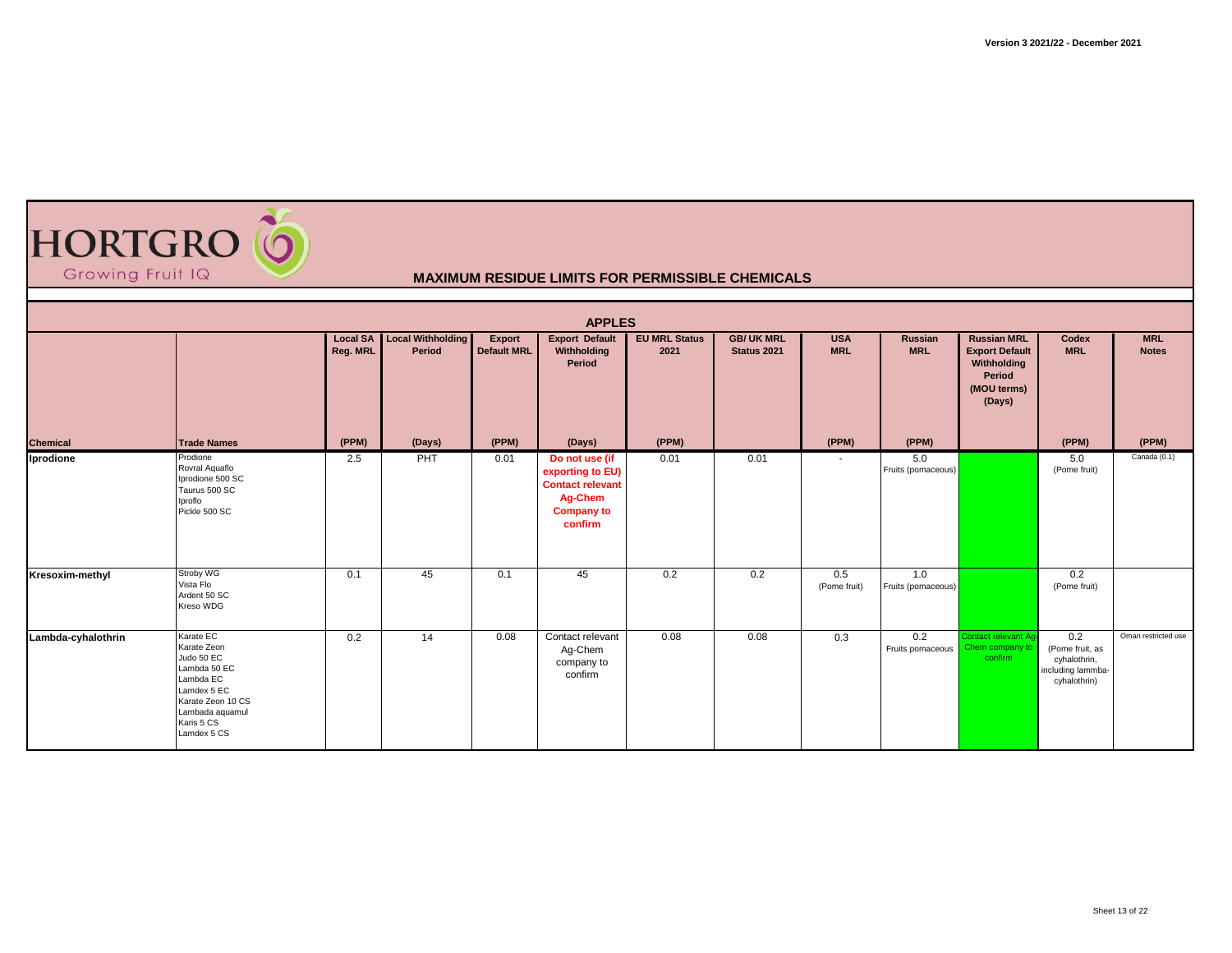

|                    |                                                                                                                                                         |                             |                                    |                              | <b>APPLES</b>                                                                                            |                              |                                  |                          |                           |                                                                                               |                                                                             |                            |
|--------------------|---------------------------------------------------------------------------------------------------------------------------------------------------------|-----------------------------|------------------------------------|------------------------------|----------------------------------------------------------------------------------------------------------|------------------------------|----------------------------------|--------------------------|---------------------------|-----------------------------------------------------------------------------------------------|-----------------------------------------------------------------------------|----------------------------|
|                    |                                                                                                                                                         | <b>Local SA</b><br>Reg. MRL | <b>Local Withholding</b><br>Period | Export<br><b>Default MRL</b> | <b>Export Default</b><br>Withholding<br>Period                                                           | <b>EU MRL Status</b><br>2021 | <b>GB/ UK MRL</b><br>Status 2021 | <b>USA</b><br><b>MRL</b> | Russian<br><b>MRL</b>     | <b>Russian MRL</b><br><b>Export Default</b><br>Withholding<br>Period<br>(MOU terms)<br>(Days) | Codex<br><b>MRL</b>                                                         | <b>MRL</b><br><b>Notes</b> |
| Chemical           | <b>Trade Names</b>                                                                                                                                      | (PPM)                       | (Days)                             | (PPM)                        | (Days)                                                                                                   | (PPM)                        |                                  | (PPM)                    | (PPM)                     |                                                                                               | (PPM)                                                                       | (PPM)                      |
| Iprodione          | Prodione<br>Rovral Aquaflo<br>Iprodione 500 SC<br>Taurus 500 SC<br>Iproflo<br>Pickle 500 SC                                                             | 2.5                         | PHT                                | 0.01                         | Do not use (if<br>exporting to EU)<br><b>Contact relevant</b><br>Ag-Chem<br><b>Company to</b><br>confirm | 0.01                         | 0.01                             | $\sim$                   | 5.0<br>Fruits (pomaceous) |                                                                                               | 5.0<br>(Pome fruit)                                                         | Canada (0.1)               |
| Kresoxim-methyl    | Stroby WG<br>Vista Flo<br>Ardent 50 SC<br>Kreso WDG                                                                                                     | 0.1                         | 45                                 | 0.1                          | 45                                                                                                       | 0.2                          | 0.2                              | 0.5<br>(Pome fruit)      | 1.0<br>Fruits (pomaceous) |                                                                                               | 0.2<br>(Pome fruit)                                                         |                            |
| Lambda-cyhalothrin | Karate EC<br>Karate Zeon<br>Judo 50 EC<br>Lambda 50 EC<br>Lambda EC<br>Lamdex 5 EC<br>Karate Zeon 10 CS<br>Lambada aquamul<br>Karis 5 CS<br>Lamdex 5 CS | 0.2                         | 14                                 | 0.08                         | Contact relevant<br>Ag-Chem<br>company to<br>confirm                                                     | 0.08                         | 0.08                             | 0.3                      | 0.2<br>Fruits pomaceous   | Contact relevant Aq-<br>Chem company to<br>confirm                                            | 0.2<br>(Pome fruit, as<br>cyhalothrin,<br>including lammba-<br>cyhalothrin) | Oman restricted use        |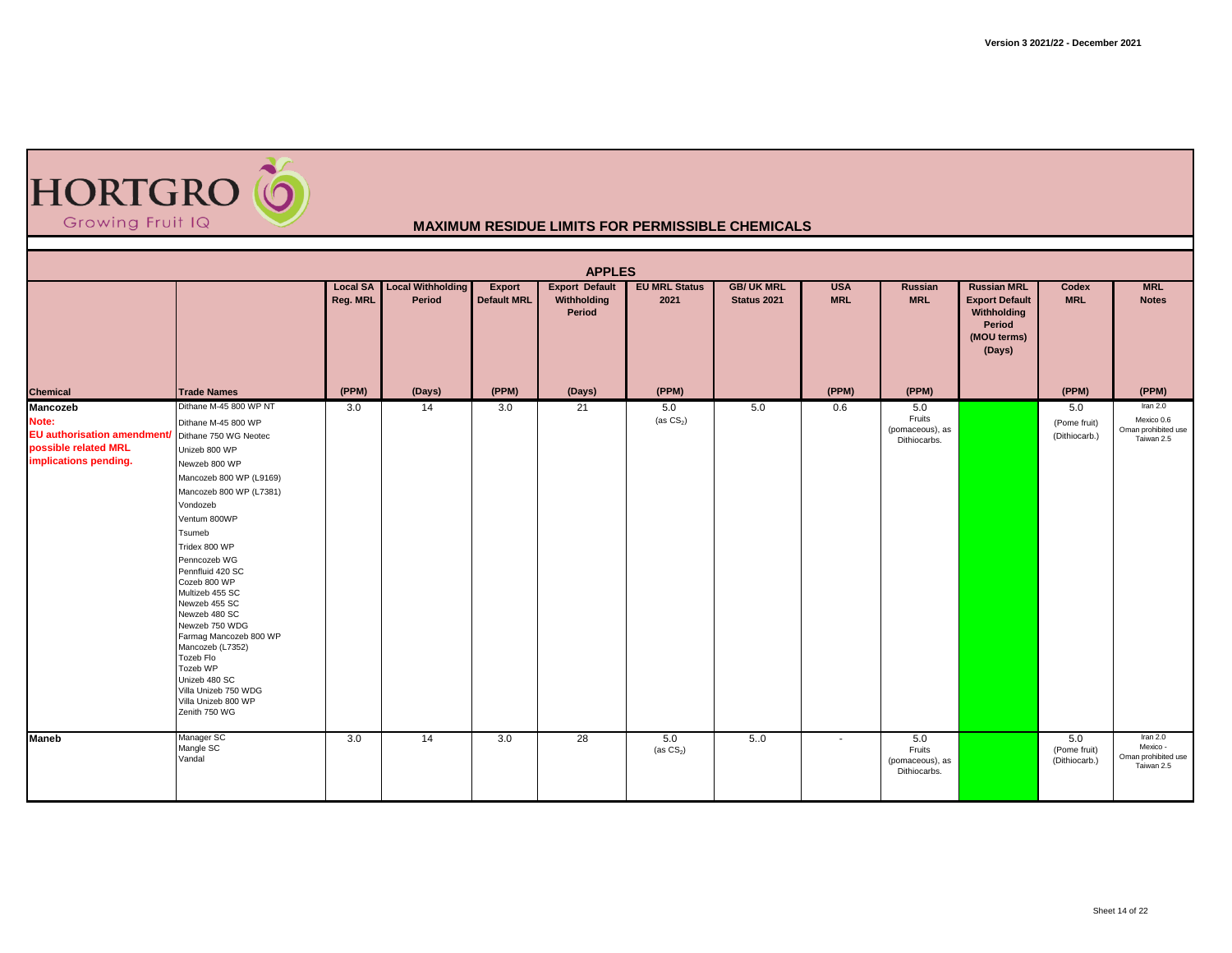

|                                                                                                                         |                                                                                                                                                                                                                                                                                                                                                                                                                                                                                 |                             |                             |                              | <b>APPLES</b>                                  |                              |                                         |                          |                                                  |                                                                                               |                                      |                                                             |
|-------------------------------------------------------------------------------------------------------------------------|---------------------------------------------------------------------------------------------------------------------------------------------------------------------------------------------------------------------------------------------------------------------------------------------------------------------------------------------------------------------------------------------------------------------------------------------------------------------------------|-----------------------------|-----------------------------|------------------------------|------------------------------------------------|------------------------------|-----------------------------------------|--------------------------|--------------------------------------------------|-----------------------------------------------------------------------------------------------|--------------------------------------|-------------------------------------------------------------|
|                                                                                                                         |                                                                                                                                                                                                                                                                                                                                                                                                                                                                                 | <b>Local SA</b><br>Reg. MRL | Local Withholding<br>Period | Export<br><b>Default MRL</b> | <b>Export Default</b><br>Withholding<br>Period | <b>EU MRL Status</b><br>2021 | <b>GB/ UK MRL</b><br><b>Status 2021</b> | <b>USA</b><br><b>MRL</b> | Russian<br><b>MRL</b>                            | <b>Russian MRL</b><br><b>Export Default</b><br>Withholding<br>Period<br>(MOU terms)<br>(Days) | Codex<br><b>MRL</b>                  | <b>MRL</b><br><b>Notes</b>                                  |
| <b>Chemical</b>                                                                                                         | <b>Trade Names</b>                                                                                                                                                                                                                                                                                                                                                                                                                                                              | (PPM)                       | (Days)                      | (PPM)                        | (Days)                                         | (PPM)                        |                                         | (PPM)                    | (PPM)                                            |                                                                                               | (PPM)                                | (PPM)                                                       |
| Mancozeb<br>Note:<br>EU authorisation amendment/ Dithane 750 WG Neotec<br>possible related MRL<br>implications pending. | Dithane M-45 800 WP NT<br>Dithane M-45 800 WP<br>Unizeb 800 WP<br>Newzeb 800 WP<br>Mancozeb 800 WP (L9169)<br>Mancozeb 800 WP (L7381)<br>Vondozeb<br>Ventum 800WP<br>Tsumeb<br>Tridex 800 WP<br>Penncozeb WG<br>Pennfluid 420 SC<br>Cozeb 800 WP<br>Multizeb 455 SC<br>Newzeb 455 SC<br>Newzeb 480 SC<br>Newzeb 750 WDG<br>Farmag Mancozeb 800 WP<br>Mancozeb (L7352)<br>Tozeb Flo<br>Tozeb WP<br>Unizeb 480 SC<br>Villa Unizeb 750 WDG<br>Villa Unizeb 800 WP<br>Zenith 750 WG | 3.0                         | 14                          | 3.0                          | 21                                             | 5.0<br>(as $CS_2$ )          | 5.0                                     | 0.6                      | 5.0<br>Fruits<br>(pomaceous), as<br>Dithiocarbs. |                                                                                               | 5.0<br>(Pome fruit)<br>(Dithiocarb.) | Iran 2.0<br>Mexico 0.6<br>Oman prohibited use<br>Taiwan 2.5 |
| <b>Maneb</b>                                                                                                            | Manager SC<br>Mangle SC<br>Vandal                                                                                                                                                                                                                                                                                                                                                                                                                                               | 3.0                         | 14                          | 3.0                          | $\overline{28}$                                | 5.0<br>(as $CS_2$ )          | 5.0                                     | $\sim$                   | 5.0<br>Fruits<br>(pomaceous), as<br>Dithiocarbs. |                                                                                               | 5.0<br>(Pome fruit)<br>(Dithiocarb.) | Iran $2.0$<br>Mexico -<br>Oman prohibited use<br>Taiwan 2.5 |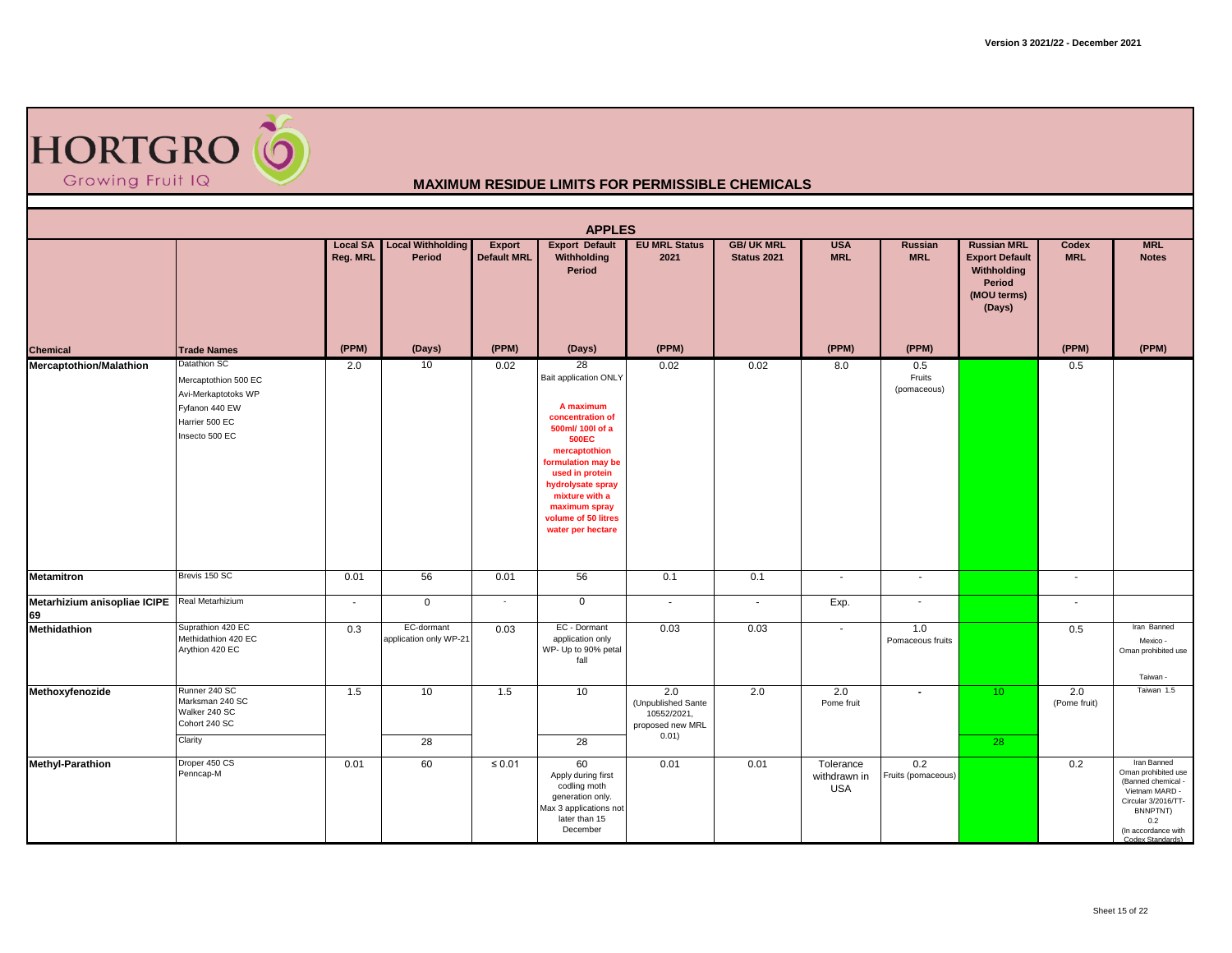

|                                                     |                                                                                                                   |                             |                                      |                                     | <b>APPLES</b>                                                                                                                                                                                                                                                  |                                                                       |                                         |                                         |                              |                                                                                               |                          |                                                                                                                                                                 |
|-----------------------------------------------------|-------------------------------------------------------------------------------------------------------------------|-----------------------------|--------------------------------------|-------------------------------------|----------------------------------------------------------------------------------------------------------------------------------------------------------------------------------------------------------------------------------------------------------------|-----------------------------------------------------------------------|-----------------------------------------|-----------------------------------------|------------------------------|-----------------------------------------------------------------------------------------------|--------------------------|-----------------------------------------------------------------------------------------------------------------------------------------------------------------|
|                                                     |                                                                                                                   | <b>Local SA</b><br>Reg. MRL | <b>Local Withholding</b><br>Period   | <b>Export</b><br><b>Default MRL</b> | <b>Export Default</b><br>Withholding<br>Period                                                                                                                                                                                                                 | <b>EU MRL Status</b><br>2021                                          | <b>GB/ UK MRL</b><br><b>Status 2021</b> | <b>USA</b><br><b>MRL</b>                | Russian<br><b>MRL</b>        | <b>Russian MRL</b><br><b>Export Default</b><br>Withholding<br>Period<br>(MOU terms)<br>(Days) | Codex<br><b>MRL</b>      | <b>MRL</b><br><b>Notes</b>                                                                                                                                      |
| Chemical                                            | <b>Trade Names</b>                                                                                                | (PPM)                       | (Days)                               | (PPM)                               | (Days)                                                                                                                                                                                                                                                         | (PPM)                                                                 |                                         | (PPM)                                   | (PPM)                        |                                                                                               | (PPM)                    | (PPM)                                                                                                                                                           |
| <b>Mercaptothion/Malathion</b>                      | Datathion SC<br>Mercaptothion 500 EC<br>Avi-Merkaptotoks WP<br>Fyfanon 440 EW<br>Harrier 500 EC<br>Insecto 500 EC | 2.0                         | 10                                   | 0.02                                | 28<br>Bait application ONLY<br>A maximum<br>concentration of<br>500ml/ 100l of a<br><b>500EC</b><br>mercaptothion<br>formulation may be<br>used in protein<br>hydrolysate spray<br>mixture with a<br>maximum spray<br>volume of 50 litres<br>water per hectare | 0.02                                                                  | 0.02                                    | 8.0                                     | 0.5<br>Fruits<br>(pomaceous) |                                                                                               | 0.5                      |                                                                                                                                                                 |
| <b>Metamitron</b>                                   | Brevis 150 SC                                                                                                     | 0.01                        | 56                                   | 0.01                                | 56                                                                                                                                                                                                                                                             | 0.1                                                                   | 0.1                                     | $\overline{\phantom{a}}$                | $\blacksquare$               |                                                                                               | $\blacksquare$           |                                                                                                                                                                 |
| Metarhizium anisopliae ICIPE Real Metarhizium<br>69 |                                                                                                                   | $\sim$                      | $\mathbf 0$                          | $\sim$                              | $\mathbf 0$                                                                                                                                                                                                                                                    | $\sim$                                                                | $\sim$                                  | Exp.                                    | $\overline{\phantom{a}}$     |                                                                                               | $\overline{\phantom{a}}$ |                                                                                                                                                                 |
| Methidathion                                        | Suprathion 420 EC<br>Methidathion 420 EC<br>Arythion 420 EC                                                       | 0.3                         | EC-dormant<br>application only WP-21 | 0.03                                | EC - Dormant<br>application only<br>WP- Up to 90% petal<br>fall                                                                                                                                                                                                | 0.03                                                                  | 0.03                                    | $\sim$                                  | 1.0<br>Pomaceous fruits      |                                                                                               | 0.5                      | Iran Banned<br>Mexico -<br>Oman prohibited use<br>Taiwan -                                                                                                      |
| Methoxyfenozide                                     | Runner 240 SC<br>Marksman 240 SC<br>Walker 240 SC<br>Cohort 240 SC<br>Clarity                                     | 1.5                         | 10<br>$\overline{28}$                | 1.5                                 | 10<br>28                                                                                                                                                                                                                                                       | 2.0<br>(Unpublished Sante<br>10552/2021,<br>proposed new MRL<br>0.01) | 2.0                                     | 2.0<br>Pome fruit                       | $\blacksquare$               | 10 <sup>°</sup><br>28                                                                         | 2.0<br>(Pome fruit)      | Taiwan 1.5                                                                                                                                                      |
| <b>Methyl-Parathion</b>                             | Droper 450 CS<br>Penncap-M                                                                                        | 0.01                        | 60                                   | $\leq 0.01$                         | 60<br>Apply during first<br>codling moth<br>generation only.<br>Max 3 applications not<br>later than 15<br>December                                                                                                                                            | 0.01                                                                  | 0.01                                    | Tolerance<br>withdrawn in<br><b>USA</b> | 0.2<br>Fruits (pomaceous)    |                                                                                               | 0.2                      | Iran Banned<br>Oman prohibited use<br>(Banned chemical -<br>Vietnam MARD -<br>Circular 3/2016/TT-<br>BNNPTNT)<br>0.2<br>(In accordance with<br>Codex Standards) |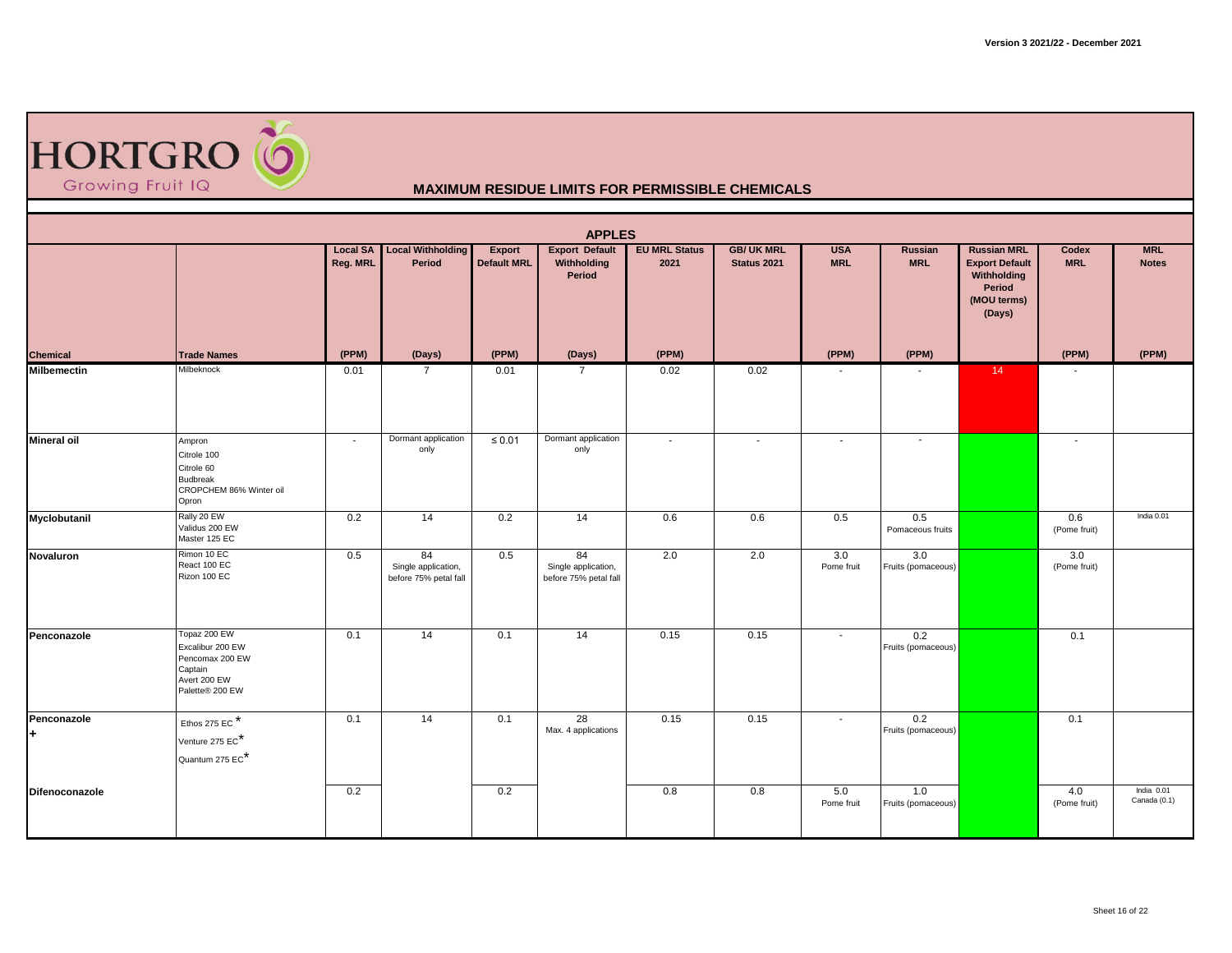| <b>HORTGRO (O</b> |  |
|-------------------|--|
| Growing Fruit IQ  |  |

|                    |                                                                                                   |                             |                                                    |                              | <b>APPLES</b>                                      |                              |                                        |                          |                           |                                                                                               |                     |                            |
|--------------------|---------------------------------------------------------------------------------------------------|-----------------------------|----------------------------------------------------|------------------------------|----------------------------------------------------|------------------------------|----------------------------------------|--------------------------|---------------------------|-----------------------------------------------------------------------------------------------|---------------------|----------------------------|
|                    |                                                                                                   | <b>Local SA</b><br>Reg. MRL | <b>Local Withholding</b><br>Period                 | Export<br><b>Default MRL</b> | <b>Export Default</b><br>Withholding<br>Period     | <b>EU MRL Status</b><br>2021 | <b>GB/UK MRL</b><br><b>Status 2021</b> | <b>USA</b><br><b>MRL</b> | Russian<br><b>MRL</b>     | <b>Russian MRL</b><br><b>Export Default</b><br>Withholding<br>Period<br>(MOU terms)<br>(Days) | Codex<br><b>MRL</b> | <b>MRL</b><br><b>Notes</b> |
| <b>Chemical</b>    | <b>Trade Names</b>                                                                                | (PPM)                       | (Days)                                             | (PPM)                        | (Days)                                             | (PPM)                        |                                        | (PPM)                    | (PPM)                     |                                                                                               | (PPM)               | (PPM)                      |
| <b>Milbemectin</b> | Milbeknock                                                                                        | 0.01                        | $\overline{7}$                                     | 0.01                         | 7                                                  | 0.02                         | 0.02                                   |                          |                           | 14                                                                                            |                     |                            |
| <b>Mineral oil</b> | Ampron<br>Citrole 100<br>Citrole 60<br><b>Budbreak</b><br>CROPCHEM 86% Winter oil<br>Opron        | $\sim$                      | Dormant application<br>only                        | $\leq 0.01$                  | Dormant application<br>only                        | $\sim$                       | $\sim$                                 | $\sim$                   | $\sim$                    |                                                                                               | $\sim$              |                            |
| Myclobutanil       | Rally 20 EW<br>Validus 200 EW<br>Master 125 EC                                                    | 0.2                         | 14                                                 | 0.2                          | 14                                                 | 0.6                          | 0.6                                    | 0.5                      | 0.5<br>Pomaceous fruits   |                                                                                               | 0.6<br>(Pome fruit) | India 0.01                 |
| Novaluron          | Rimon 10 EC<br>React 100 EC<br>Rizon 100 EC                                                       | 0.5                         | 84<br>Single application,<br>before 75% petal fall | 0.5                          | 84<br>Single application,<br>before 75% petal fall | 2.0                          | 2.0                                    | 3.0<br>Pome fruit        | 3.0<br>Fruits (pomaceous) |                                                                                               | 3.0<br>(Pome fruit) |                            |
| Penconazole        | Topaz 200 EW<br>Excalibur 200 EW<br>Pencomax 200 EW<br>Captain<br>Avert 200 EW<br>Palette® 200 EW | 0.1                         | 14                                                 | 0.1                          | 14                                                 | 0.15                         | 0.15                                   | $\sim$                   | 0.2<br>Fruits (pomaceous) |                                                                                               | 0.1                 |                            |
| Penconazole<br>l÷. | Ethos 275 EC*<br>Venture 275 EC*<br>Quantum 275 EC*                                               | 0.1                         | 14                                                 | 0.1                          | 28<br>Max. 4 applications                          | 0.15                         | 0.15                                   | $\sim$                   | 0.2<br>Fruits (pomaceous) |                                                                                               | 0.1                 |                            |
| Difenoconazole     |                                                                                                   | 0.2                         |                                                    | 0.2                          |                                                    | 0.8                          | 0.8                                    | 5.0<br>Pome fruit        | 1.0<br>Fruits (pomaceous) |                                                                                               | 4.0<br>(Pome fruit) | India 0.01<br>Canada (0.1) |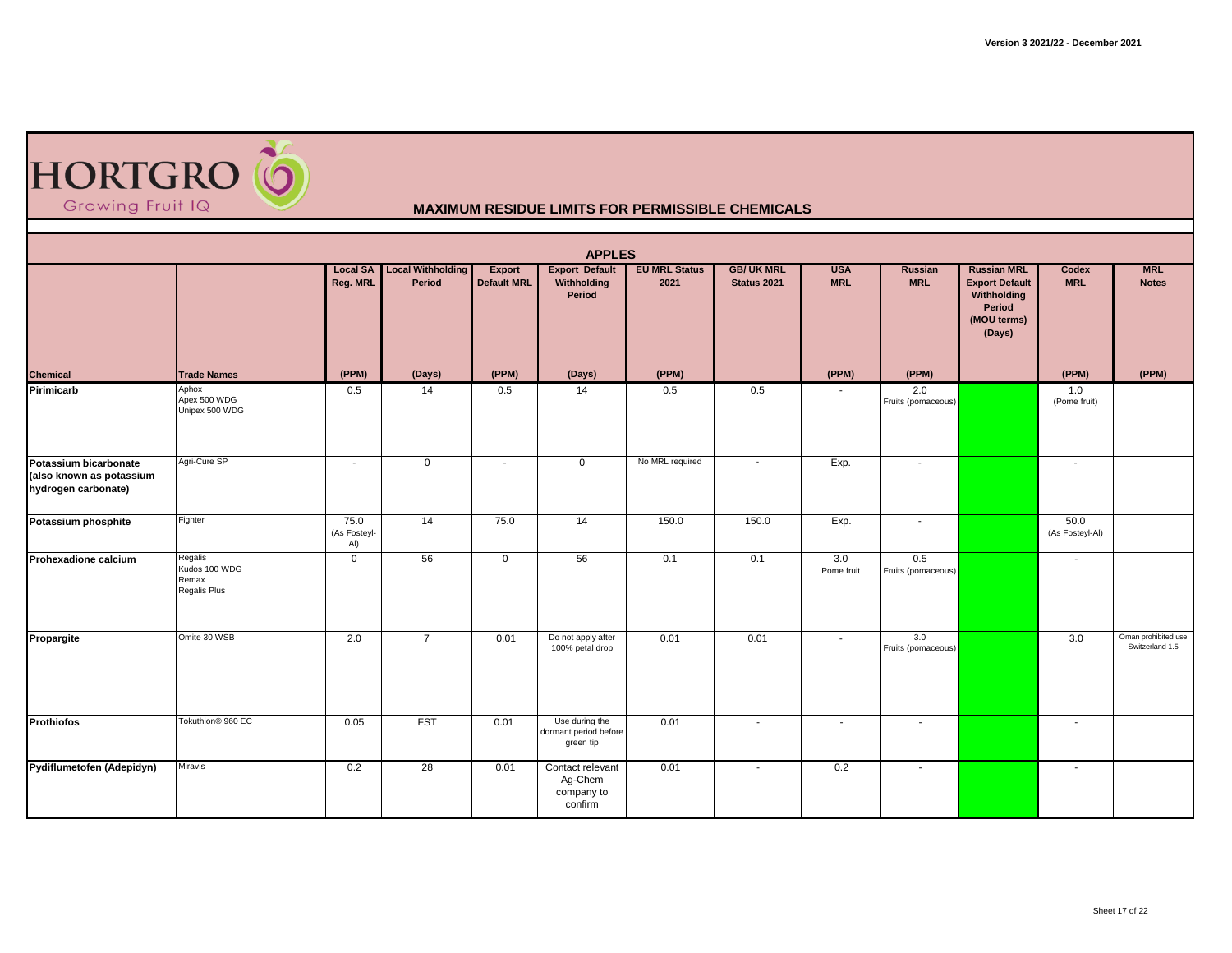

|                                                                          |                                                   |                             |                                    |                                     | <b>APPLES</b>                                        |                              |                                  |                          |                           |                                                                                               |                          |                                        |
|--------------------------------------------------------------------------|---------------------------------------------------|-----------------------------|------------------------------------|-------------------------------------|------------------------------------------------------|------------------------------|----------------------------------|--------------------------|---------------------------|-----------------------------------------------------------------------------------------------|--------------------------|----------------------------------------|
|                                                                          |                                                   | <b>Local SA</b><br>Reg. MRL | <b>Local Withholding</b><br>Period | <b>Export</b><br><b>Default MRL</b> | <b>Export Default</b><br>Withholding<br>Period       | <b>EU MRL Status</b><br>2021 | <b>GB/ UK MRL</b><br>Status 2021 | <b>USA</b><br><b>MRL</b> | Russian<br><b>MRL</b>     | <b>Russian MRL</b><br><b>Export Default</b><br>Withholding<br>Period<br>(MOU terms)<br>(Days) | Codex<br><b>MRL</b>      | <b>MRL</b><br><b>Notes</b>             |
| <b>Chemical</b>                                                          | <b>Trade Names</b>                                | (PPM)                       | (Days)                             | (PPM)                               | (Days)                                               | (PPM)                        |                                  | (PPM)                    | (PPM)                     |                                                                                               | (PPM)                    | (PPM)                                  |
| Pirimicarb                                                               | Aphox<br>Apex 500 WDG<br>Unipex 500 WDG           | 0.5                         | 14                                 | 0.5                                 | 14                                                   | 0.5                          | 0.5                              |                          | 2.0<br>Fruits (pomaceous) |                                                                                               | 1.0<br>(Pome fruit)      |                                        |
| Potassium bicarbonate<br>(also known as potassium<br>hydrogen carbonate) | Agri-Cure SP                                      | $\sim$                      | $\overline{0}$                     | $\sim$                              | $\mathbf 0$                                          | No MRL required              | $\overline{\phantom{a}}$         | Exp.                     | $\sim$                    |                                                                                               |                          |                                        |
| Potassium phosphite                                                      | Fighter                                           | 75.0<br>(As Fosteyl-<br>Al) | 14                                 | 75.0                                | 14                                                   | 150.0                        | 150.0                            | Exp.                     | $\overline{\phantom{a}}$  |                                                                                               | 50.0<br>(As Fosteyl-Al)  |                                        |
| Prohexadione calcium                                                     | Regalis<br>Kudos 100 WDG<br>Remax<br>Regalis Plus | $\mathbf 0$                 | 56                                 | $\mathbf 0$                         | 56                                                   | 0.1                          | 0.1                              | 3.0<br>Pome fruit        | 0.5<br>Fruits (pomaceous) |                                                                                               | $\sim$                   |                                        |
| Propargite                                                               | Omite 30 WSB                                      | 2.0                         | $\overline{7}$                     | 0.01                                | Do not apply after<br>100% petal drop                | 0.01                         | 0.01                             | $\sim$                   | 3.0<br>Fruits (pomaceous) |                                                                                               | 3.0                      | Oman prohibited use<br>Switzerland 1.5 |
| <b>Prothiofos</b>                                                        | Tokuthion <sup>®</sup> 960 EC                     | 0.05                        | <b>FST</b>                         | 0.01                                | Use during the<br>dormant period before<br>green tip | 0.01                         | $\sim$                           | $\overline{\phantom{a}}$ | $\overline{\phantom{a}}$  |                                                                                               | $\overline{\phantom{a}}$ |                                        |
| Pydiflumetofen (Adepidyn)                                                | Miravis                                           | 0.2                         | 28                                 | 0.01                                | Contact relevant<br>Ag-Chem<br>company to<br>confirm | 0.01                         | $\sim$                           | 0.2                      | $\sim$                    |                                                                                               | $\sim$                   |                                        |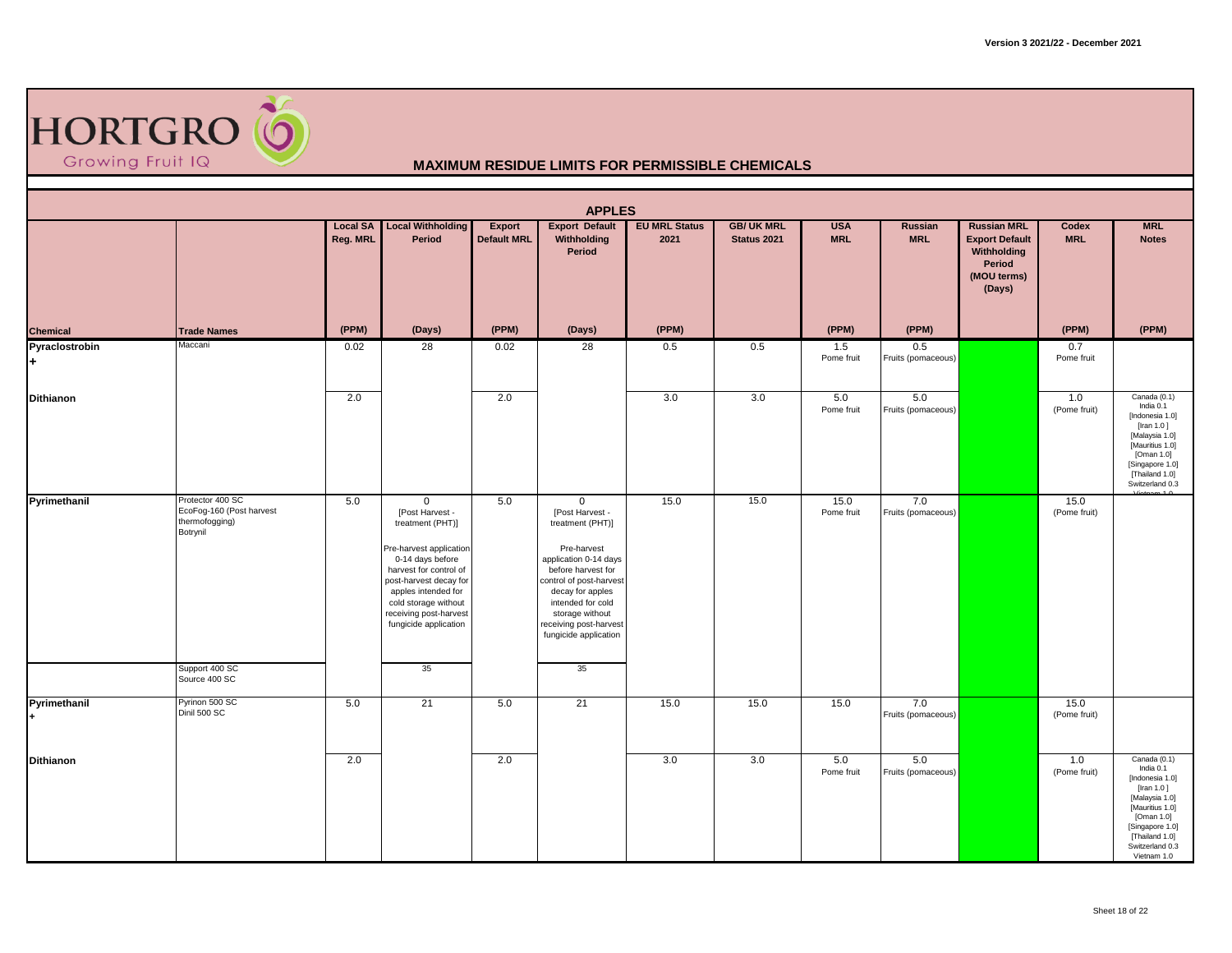

|                             |                                                                                                               |                             |                                                                                                                                                                                                                                                               |                                     | <b>APPLES</b>                                                                                                                                                                                                                                                    |                              |                                  |                          |                           |                                                                                               |                      |                                                                                                                                                                                      |
|-----------------------------|---------------------------------------------------------------------------------------------------------------|-----------------------------|---------------------------------------------------------------------------------------------------------------------------------------------------------------------------------------------------------------------------------------------------------------|-------------------------------------|------------------------------------------------------------------------------------------------------------------------------------------------------------------------------------------------------------------------------------------------------------------|------------------------------|----------------------------------|--------------------------|---------------------------|-----------------------------------------------------------------------------------------------|----------------------|--------------------------------------------------------------------------------------------------------------------------------------------------------------------------------------|
|                             |                                                                                                               | <b>Local SA</b><br>Reg. MRL | <b>Local Withholding</b><br>Period                                                                                                                                                                                                                            | <b>Export</b><br><b>Default MRL</b> | <b>Export Default</b><br>Withholding<br>Period                                                                                                                                                                                                                   | <b>EU MRL Status</b><br>2021 | <b>GB/ UK MRL</b><br>Status 2021 | <b>USA</b><br><b>MRL</b> | Russian<br><b>MRL</b>     | <b>Russian MRL</b><br><b>Export Default</b><br>Withholding<br>Period<br>(MOU terms)<br>(Days) | Codex<br><b>MRL</b>  | <b>MRL</b><br><b>Notes</b>                                                                                                                                                           |
| <b>Chemical</b>             | <b>Trade Names</b>                                                                                            | (PPM)                       | (Days)                                                                                                                                                                                                                                                        | (PPM)                               | (Days)                                                                                                                                                                                                                                                           | (PPM)                        |                                  | (PPM)                    | (PPM)                     |                                                                                               | (PPM)                | (PPM)                                                                                                                                                                                |
| Pyraclostrobin<br>l÷.       | Maccani                                                                                                       | 0.02                        | 28                                                                                                                                                                                                                                                            | 0.02                                | 28                                                                                                                                                                                                                                                               | 0.5                          | 0.5                              | 1.5<br>Pome fruit        | 0.5<br>Fruits (pomaceous) |                                                                                               | 0.7<br>Pome fruit    |                                                                                                                                                                                      |
| <b>Dithianon</b>            |                                                                                                               | 2.0                         |                                                                                                                                                                                                                                                               | 2.0                                 |                                                                                                                                                                                                                                                                  | 3.0                          | 3.0                              | 5.0<br>Pome fruit        | 5.0<br>Fruits (pomaceous) |                                                                                               | 1.0<br>(Pome fruit)  | Canada (0.1)<br>India 0.1<br>[Indonesia 1.0]<br>[Iran 1.0]<br>[Malaysia 1.0]<br>[Mauritius 1.0]<br>[Oman 1.0]<br>[Singapore 1.0]<br>[Thailand 1.0]<br>Switzerland 0.3                |
| Pyrimethanil                | Protector 400 SC<br>EcoFog-160 (Post harvest<br>thermofogging)<br>Botrynil<br>Support 400 SC<br>Source 400 SC | 5.0                         | $\mathbf 0$<br>[Post Harvest -<br>treatment (PHT)]<br>Pre-harvest application<br>0-14 days before<br>harvest for control of<br>post-harvest decay for<br>apples intended for<br>cold storage without<br>receiving post-harvest<br>fungicide application<br>35 | 5.0                                 | $\mathbf 0$<br>[Post Harvest -<br>treatment (PHT)]<br>Pre-harvest<br>application 0-14 days<br>before harvest for<br>control of post-harvest<br>decay for apples<br>intended for cold<br>storage without<br>receiving post-harvest<br>fungicide application<br>35 | 15.0                         | 15.0                             | 15.0<br>Pome fruit       | 7.0<br>Fruits (pomaceous) |                                                                                               | 15.0<br>(Pome fruit) |                                                                                                                                                                                      |
| Pyrimethanil<br>$\ddotmark$ | Pyrinon 500 SC<br>Dinil 500 SC                                                                                | 5.0                         | 21                                                                                                                                                                                                                                                            | 5.0                                 | 21                                                                                                                                                                                                                                                               | 15.0                         | 15.0                             | 15.0                     | 7.0<br>Fruits (pomaceous) |                                                                                               | 15.0<br>(Pome fruit) |                                                                                                                                                                                      |
|                             |                                                                                                               |                             |                                                                                                                                                                                                                                                               |                                     |                                                                                                                                                                                                                                                                  |                              |                                  |                          |                           |                                                                                               |                      |                                                                                                                                                                                      |
| Dithianon                   |                                                                                                               | 2.0                         |                                                                                                                                                                                                                                                               | 2.0                                 |                                                                                                                                                                                                                                                                  | 3.0                          | 3.0                              | 5.0<br>Pome fruit        | 5.0<br>Fruits (pomaceous) |                                                                                               | 1.0<br>(Pome fruit)  | Canada (0.1)<br>India 0.1<br>[Indonesia 1.0]<br>[Iran 1.0]<br>[Malaysia 1.0]<br>[Mauritius 1.0]<br>[Oman 1.0]<br>[Singapore 1.0]<br>[Thailand 1.0]<br>Switzerland 0.3<br>Vietnam 1.0 |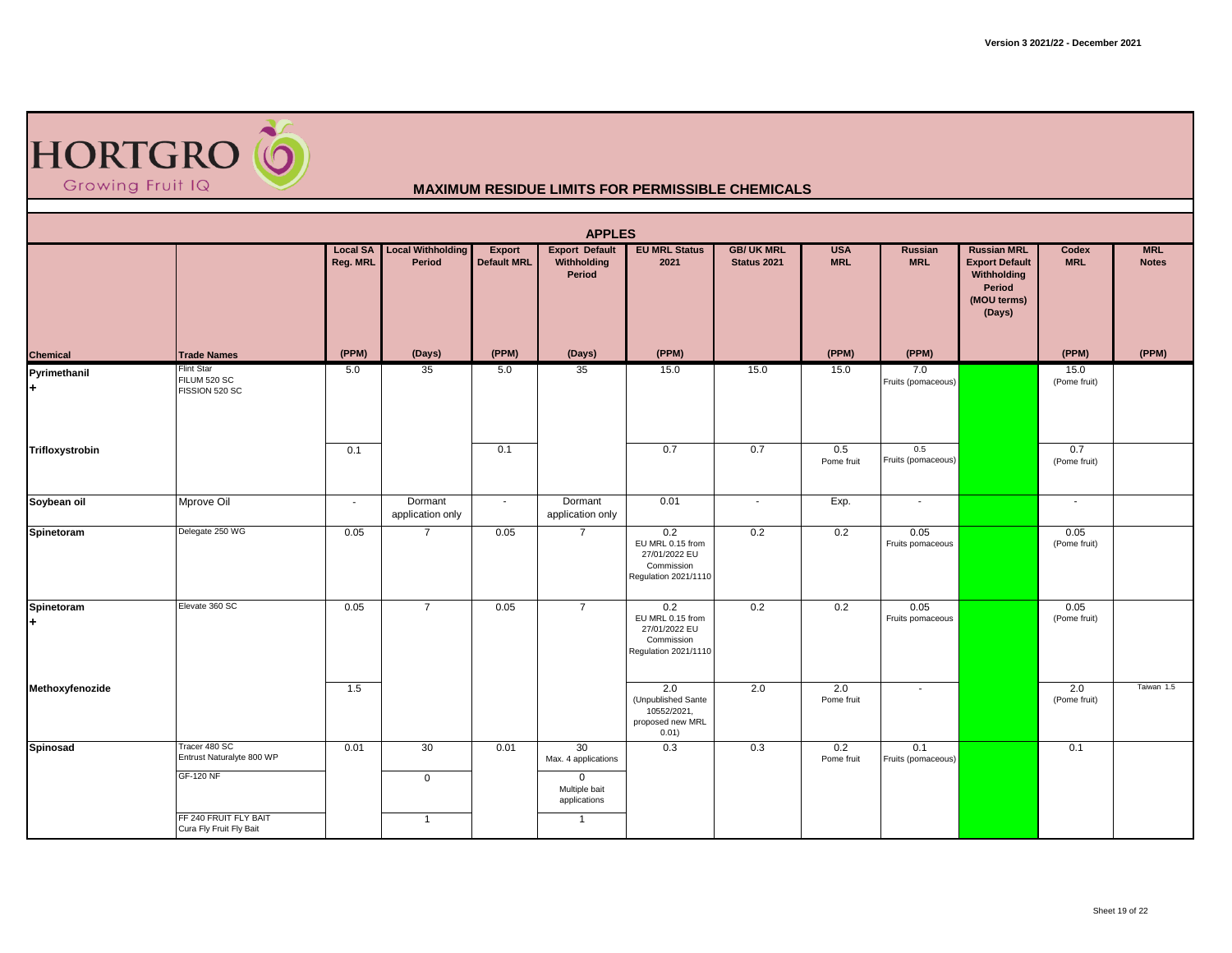| <b>HORTGRO (O</b> |  |
|-------------------|--|
| Growing Fruit IQ  |  |

|                     |                                                                                                                    |                             |                                     |                                     | <b>APPLES</b>                                                                             |                                                                                |                                        |                          |                           |                                                                                               |                      |                            |
|---------------------|--------------------------------------------------------------------------------------------------------------------|-----------------------------|-------------------------------------|-------------------------------------|-------------------------------------------------------------------------------------------|--------------------------------------------------------------------------------|----------------------------------------|--------------------------|---------------------------|-----------------------------------------------------------------------------------------------|----------------------|----------------------------|
|                     |                                                                                                                    | <b>Local SA</b><br>Reg. MRL | <b>Local Withholding</b><br>Period  | <b>Export</b><br><b>Default MRL</b> | <b>Export Default</b><br>Withholding<br>Period                                            | <b>EU MRL Status</b><br>2021                                                   | <b>GB/UK MRL</b><br><b>Status 2021</b> | <b>USA</b><br><b>MRL</b> | Russian<br><b>MRL</b>     | <b>Russian MRL</b><br><b>Export Default</b><br>Withholding<br>Period<br>(MOU terms)<br>(Days) | Codex<br><b>MRL</b>  | <b>MRL</b><br><b>Notes</b> |
| <b>Chemical</b>     | <b>Trade Names</b>                                                                                                 | (PPM)                       | (Days)                              | (PPM)                               | (Days)                                                                                    | (PPM)                                                                          |                                        | (PPM)                    | (PPM)                     |                                                                                               | (PPM)                | (PPM)                      |
| Pyrimethanil<br>$+$ | <b>Flint Star</b><br>FILUM 520 SC<br>FISSION 520 SC                                                                | 5.0                         | 35                                  | 5.0                                 | 35                                                                                        | 15.0                                                                           | 15.0                                   | 15.0                     | 7.0<br>Fruits (pomaceous) |                                                                                               | 15.0<br>(Pome fruit) |                            |
| Trifloxystrobin     |                                                                                                                    | 0.1                         |                                     | 0.1                                 |                                                                                           | 0.7                                                                            | 0.7                                    | 0.5<br>Pome fruit        | 0.5<br>Fruits (pomaceous) |                                                                                               | 0.7<br>(Pome fruit)  |                            |
| Soybean oil         | Mprove Oil                                                                                                         | $\sim$                      | Dormant<br>application only         | $\sim$                              | Dormant<br>application only                                                               | 0.01                                                                           | $\sim$                                 | Exp.                     | $\sim$                    |                                                                                               | $\blacksquare$       |                            |
| Spinetoram          | Delegate 250 WG                                                                                                    | 0.05                        | $\overline{7}$                      | 0.05                                | $\overline{7}$                                                                            | 0.2<br>EU MRL 0.15 from<br>27/01/2022 EU<br>Commission<br>Regulation 2021/1110 | 0.2                                    | 0.2                      | 0.05<br>Fruits pomaceous  |                                                                                               | 0.05<br>(Pome fruit) |                            |
| Spinetoram<br>$+$   | Elevate 360 SC                                                                                                     | 0.05                        | $\overline{7}$                      | 0.05                                | $\overline{7}$                                                                            | 0.2<br>EU MRL 0.15 from<br>27/01/2022 EU<br>Commission<br>Regulation 2021/1110 | 0.2                                    | 0.2                      | 0.05<br>Fruits pomaceous  |                                                                                               | 0.05<br>(Pome fruit) |                            |
| Methoxyfenozide     |                                                                                                                    | 1.5                         |                                     |                                     |                                                                                           | 2.0<br>(Unpublished Sante<br>10552/2021,<br>proposed new MRL<br>0.01)          | 2.0                                    | 2.0<br>Pome fruit        | $\blacksquare$            |                                                                                               | 2.0<br>(Pome fruit)  | Taiwan 1.5                 |
| Spinosad            | Tracer 480 SC<br>Entrust Naturalyte 800 WP<br><b>GF-120 NF</b><br>FF 240 FRUIT FLY BAIT<br>Cura Fly Fruit Fly Bait | 0.01                        | 30<br>$\mathsf 0$<br>$\overline{1}$ | 0.01                                | 30<br>Max. 4 applications<br>$\mathbf 0$<br>Multiple bait<br>applications<br>$\mathbf{1}$ | 0.3                                                                            | 0.3                                    | 0.2<br>Pome fruit        | 0.1<br>Fruits (pomaceous) |                                                                                               | 0.1                  |                            |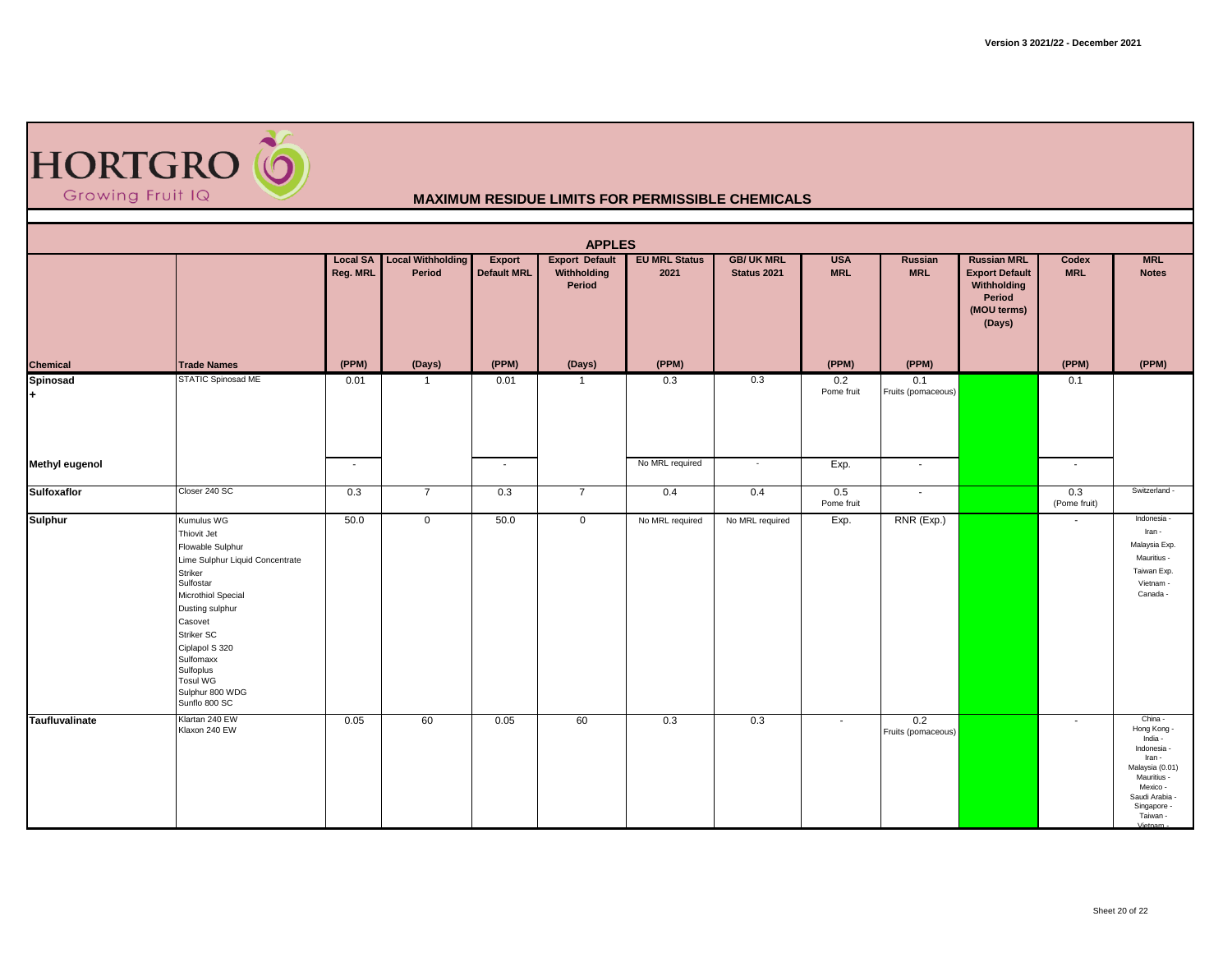

|                       |                                                                                                                                                                                                                                                                        |                             |                                    |                              | <b>APPLES</b>                                  |                              |                                  |                          |                           |                                                                                               |                     |                                                                                                                                                                  |
|-----------------------|------------------------------------------------------------------------------------------------------------------------------------------------------------------------------------------------------------------------------------------------------------------------|-----------------------------|------------------------------------|------------------------------|------------------------------------------------|------------------------------|----------------------------------|--------------------------|---------------------------|-----------------------------------------------------------------------------------------------|---------------------|------------------------------------------------------------------------------------------------------------------------------------------------------------------|
|                       |                                                                                                                                                                                                                                                                        | <b>Local SA</b><br>Reg. MRL | <b>Local Withholding</b><br>Period | Export<br><b>Default MRL</b> | <b>Export Default</b><br>Withholding<br>Period | <b>EU MRL Status</b><br>2021 | <b>GB/ UK MRL</b><br>Status 2021 | <b>USA</b><br><b>MRL</b> | Russian<br><b>MRL</b>     | <b>Russian MRL</b><br><b>Export Default</b><br>Withholding<br>Period<br>(MOU terms)<br>(Days) | Codex<br><b>MRL</b> | <b>MRL</b><br><b>Notes</b>                                                                                                                                       |
| Chemical              | <b>Trade Names</b>                                                                                                                                                                                                                                                     | (PPM)                       | (Days)                             | (PPM)                        | (Days)                                         | (PPM)                        |                                  | (PPM)                    | (PPM)                     |                                                                                               | (PPM)               | (PPM)                                                                                                                                                            |
| Spinosad<br>ŀ.        | <b>STATIC Spinosad ME</b>                                                                                                                                                                                                                                              | 0.01                        | $\overline{1}$                     | 0.01                         | $\overline{1}$                                 | 0.3                          | 0.3                              | 0.2<br>Pome fruit        | 0.1<br>Fruits (pomaceous) |                                                                                               | 0.1                 |                                                                                                                                                                  |
| <b>Methyl eugenol</b> |                                                                                                                                                                                                                                                                        | $\sim$                      |                                    | $\sim$                       |                                                | No MRL required              | $\sim$                           | Exp.                     | $\sim$                    |                                                                                               | $\sim$              |                                                                                                                                                                  |
| <b>Sulfoxaflor</b>    | Closer 240 SC                                                                                                                                                                                                                                                          | 0.3                         | $\overline{7}$                     | 0.3                          | $\overline{7}$                                 | 0.4                          | 0.4                              | 0.5<br>Pome fruit        | $\sim$                    |                                                                                               | 0.3<br>(Pome fruit) | Switzerland -                                                                                                                                                    |
| <b>Sulphur</b>        | Kumulus WG<br>Thiovit Jet<br>Flowable Sulphur<br>Lime Sulphur Liquid Concentrate<br>Striker<br>Sulfostar<br>Microthiol Special<br>Dusting sulphur<br>Casovet<br>Striker SC<br>Ciplapol S 320<br>Sulfomaxx<br>Sulfoplus<br>Tosul WG<br>Sulphur 800 WDG<br>Sunflo 800 SC | 50.0                        | $\mathbf 0$                        | 50.0                         | $\mathbf 0$                                    | No MRL required              | No MRL required                  | Exp.                     | RNR (Exp.)                |                                                                                               | $\blacksquare$      | Indonesia -<br>Iran -<br>Malaysia Exp.<br>Mauritius -<br>Taiwan Exp.<br>Vietnam -<br>Canada -                                                                    |
| Taufluvalinate        | Klartan 240 EW<br>Klaxon 240 EW                                                                                                                                                                                                                                        | 0.05                        | 60                                 | 0.05                         | 60                                             | 0.3                          | 0.3                              | $\sim$                   | 0.2<br>Fruits (pomaceous) |                                                                                               | $\blacksquare$      | China -<br>Hong Kong -<br>India -<br>Indonesia -<br>Iran -<br>Malaysia (0.01)<br>Mauritius -<br>Mexico -<br>Saudi Arabia -<br>Singapore -<br>Taiwan -<br>Viotnam |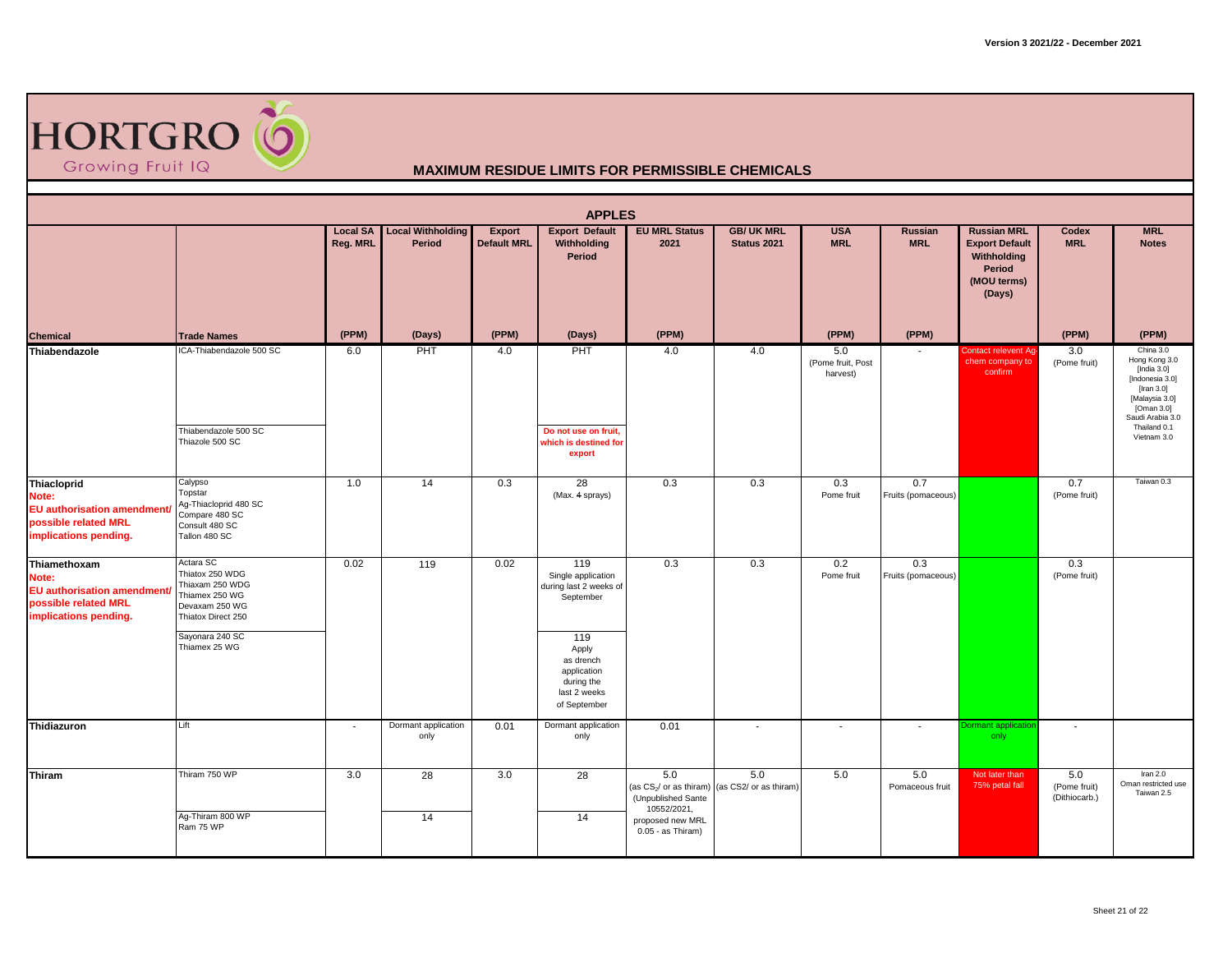

|                                                                                                              |                                                                                                                                               |                             |                                    |                              | <b>APPLES</b>                                                                                                                                              |                                                                                                                            |                                  |                                      |                           |                                                                                               |                                      |                                                                                                                                                                  |
|--------------------------------------------------------------------------------------------------------------|-----------------------------------------------------------------------------------------------------------------------------------------------|-----------------------------|------------------------------------|------------------------------|------------------------------------------------------------------------------------------------------------------------------------------------------------|----------------------------------------------------------------------------------------------------------------------------|----------------------------------|--------------------------------------|---------------------------|-----------------------------------------------------------------------------------------------|--------------------------------------|------------------------------------------------------------------------------------------------------------------------------------------------------------------|
|                                                                                                              |                                                                                                                                               | <b>Local SA</b><br>Reg. MRL | <b>Local Withholding</b><br>Period | Export<br><b>Default MRL</b> | <b>Export Default</b><br>Withholding<br>Period                                                                                                             | <b>EU MRL Status</b><br>2021                                                                                               | <b>GB/ UK MRL</b><br>Status 2021 | <b>USA</b><br><b>MRL</b>             | Russian<br><b>MRL</b>     | <b>Russian MRL</b><br><b>Export Default</b><br>Withholding<br>Period<br>(MOU terms)<br>(Days) | <b>Codex</b><br><b>MRL</b>           | <b>MRL</b><br><b>Notes</b>                                                                                                                                       |
| Chemical                                                                                                     | <b>Trade Names</b>                                                                                                                            | (PPM)                       | (Days)                             | (PPM)                        | (Days)                                                                                                                                                     | (PPM)                                                                                                                      |                                  | (PPM)                                | (PPM)                     |                                                                                               | (PPM)                                | (PPM)                                                                                                                                                            |
| Thiabendazole                                                                                                | ICA-Thiabendazole 500 SC<br>Thiabendazole 500 SC<br>Thiazole 500 SC                                                                           | 6.0                         | PHT                                | 4.0                          | PHT<br>Do not use on fruit.<br>which is destined for<br>export                                                                                             | 4.0                                                                                                                        | 4.0                              | 5.0<br>(Pome fruit, Post<br>harvest) |                           | Contact relevent Ag-<br>chem company to<br>confirm                                            | 3.0<br>(Pome fruit)                  | China 3.0<br>Hong Kong 3.0<br>[India $3.0$ ]<br>[Indonesia 3.0]<br>[Iran 3.0]<br>[Malaysia 3.0]<br>[Oman 3.0]<br>Saudi Arabia 3.0<br>Thailand 0.1<br>Vietnam 3.0 |
| Thiacloprid<br>Note:<br><b>EU authorisation amendment/</b><br>possible related MRL<br>implications pending.  | Calypso<br>Topstar<br>Aq-Thiacloprid 480 SC<br>Compare 480 SC<br>Consult 480 SC<br>Tallon 480 SC                                              | 1.0                         | 14                                 | 0.3                          | 28<br>(Max. 4 sprays)                                                                                                                                      | 0.3                                                                                                                        | 0.3                              | 0.3<br>Pome fruit                    | 0.7<br>Fruits (pomaceous) |                                                                                               | 0.7<br>(Pome fruit)                  | Taiwan 0.3                                                                                                                                                       |
| Thiamethoxam<br>Note:<br><b>EU</b> authorisation amendment/<br>possible related MRL<br>implications pending. | Actara SC<br>Thiatox 250 WDG<br>Thiaxam 250 WDG<br>Thiamex 250 WG<br>Devaxam 250 WG<br>Thiatox Direct 250<br>Sayonara 240 SC<br>Thiamex 25 WG | 0.02                        | 119                                | 0.02                         | 119<br>Single application<br>during last 2 weeks of<br>September<br>119<br>Apply<br>as drench<br>application<br>during the<br>last 2 weeks<br>of September | 0.3                                                                                                                        | 0.3                              | 0.2<br>Pome fruit                    | 0.3<br>Fruits (pomaceous) |                                                                                               | 0.3<br>(Pome fruit)                  |                                                                                                                                                                  |
| Thidiazuron                                                                                                  | Lift                                                                                                                                          | $\sim$                      | Dormant application<br>only        | 0.01                         | Dormant application<br>only                                                                                                                                | 0.01                                                                                                                       | $\sim$                           | $\overline{\phantom{a}}$             | $\sim$                    | Dormant applicatio<br>only                                                                    | $\blacksquare$                       |                                                                                                                                                                  |
| <b>Thiram</b>                                                                                                | Thiram 750 WP<br>Ag-Thiram 800 WP<br>Ram 75 WP                                                                                                | 3.0                         | 28<br>14                           | 3.0                          | 28<br>14                                                                                                                                                   | 5.0<br>(as CS <sub>2</sub> / or as thiram)<br>(Unpublished Sante<br>10552/2021,<br>proposed new MRL<br>$0.05 - as Thiram)$ | 5.0<br>(as CS2/ or as thiram)    | 5.0                                  | 5.0<br>Pomaceous fruit    | Not later than<br>75% petal fall                                                              | 5.0<br>(Pome fruit)<br>(Dithiocarb.) | Iran $2.0$<br>Oman restricted use<br>Taiwan 2.5                                                                                                                  |